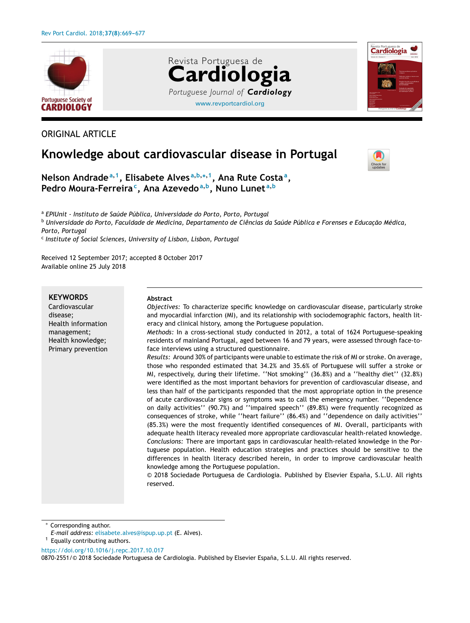



# **Knowledge about cardiovascular disease in Portugal**



Cardiologia

**Nelson Andrade<sup>a</sup>**,**<sup>1</sup> , Elisabete Alves <sup>a</sup>**,**b**,∗,**<sup>1</sup> , Ana Rute Costa<sup>a</sup> , Pedro Moura-Ferreira<sup>c</sup> , Ana Azevedo<sup>a</sup>**,**<sup>b</sup> , Nuno Lunet <sup>a</sup>**,**<sup>b</sup>**

<sup>a</sup> *EPIUnit - Instituto de Saúde Pública, Universidade do Porto, Porto, Portugal*

<sup>b</sup> Universidade do Porto, Faculdade de Medicina, Departamento de Ciências da Saúde Pública e Forenses e Educação Médica, *Porto, Portugal*

[www.revportcardiol.org](http://www.revportcardiol.org)

*Portuguese Journal of Cardiology*

**Cardiologia**

Revista Portuguesa de

c *Institute of Social Sciences, University of Lisbon, Lisbon, Portugal*

Received 12 September 2017; accepted 8 October 2017 Available online 25 July 2018

## **KEYWORDS**

Cardiovascular disease; Health information management; Health knowledge; Primary prevention

#### **Abstract**

*Objectives:* To characterize specific knowledge on cardiovascular disease, particularly stroke and myocardial infarction (MI), and its relationship with sociodemographic factors, health literacy and clinical history, among the Portuguese population.

*Methods:* In a cross-sectional study conducted in 2012, a total of 1624 Portuguese-speaking residents of mainland Portugal, aged between 16 and 79 years, were assessed through face-toface interviews using a structured questionnaire.

*Results:* Around 30% of participants were unable to estimate the risk of MI or stroke. On average, those who responded estimated that 34.2% and 35.6% of Portuguese will suffer a stroke or MI, respectively, during their lifetime. ''Not smoking'' (36.8%) and a ''healthy diet'' (32.8%) were identified as the most important behaviors for prevention of cardiovascular disease, and less than half of the participants responded that the most appropriate option in the presence of acute cardiovascular signs or symptoms was to call the emergency number. ''Dependence on daily activities'' (90.7%) and ''impaired speech'' (89.8%) were frequently recognized as consequences of stroke, while ''heart failure'' (86.4%) and ''dependence on daily activities'' (85.3%) were the most frequently identified consequences of MI. Overall, participants with adequate health literacy revealed more appropriate cardiovascular health-related knowledge. *Conclusions:* There are important gaps in cardiovascular health-related knowledge in the Portuguese population. Health education strategies and practices should be sensitive to the differences in health literacy described herein, in order to improve cardiovascular health knowledge among the Portuguese population.

© 2018 Sociedade Portuguesa de Cardiologia. Published by Elsevier España, S.L.U. All rights reserved.

Corresponding author.

<https://doi.org/10.1016/j.repc.2017.10.017>

*E-mail address:* [elisabete.alves@ispup.up.pt](mailto:elisabete.alves@ispup.up.pt) (E. Alves). <sup>1</sup> Equally contributing authors.

<sup>0870-2551/© 2018</sup> Sociedade Portuguesa de Cardiologia. Published by Elsevier España, S.L.U. All rights reserved.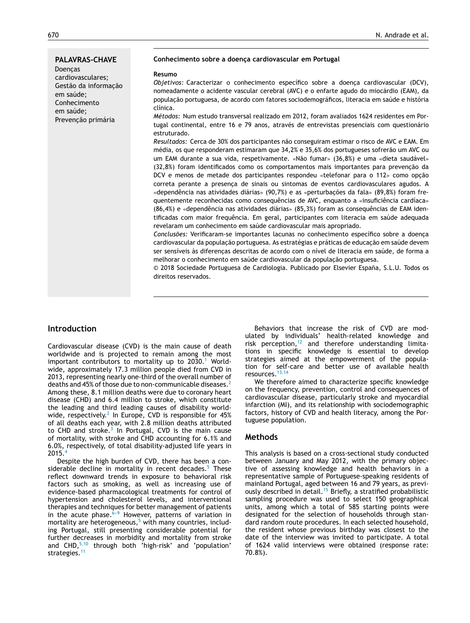#### **PALAVRAS-CHAVE**

Doencas cardiovasculares; Gestão da informação em saúde; Conhecimento em saúde; Prevenção primária

#### **Conhecimento sobre a doenc¸a cardiovascular em Portugal**

#### **Resumo**

*Objetivos:* Caracterizar o conhecimento específico sobre a doença cardiovascular (DCV), nomeadamente o acidente vascular cerebral (AVC) e o enfarte agudo do miocárdio (EAM), da população portuguesa, de acordo com fatores sociodemográficos, literacia em saúde e história clínica.

*Métodos:* Num estudo transversal realizado em 2012, foram avaliados 1624 residentes em Portugal continental, entre 16 e 79 anos, através de entrevistas presenciais com questionário estruturado.

*Resultados:* Cerca de 30% dos participantes não conseguiram estimar o risco de AVC e EAM. Em média, os que responderam estimaram que 34,2% e 35,6% dos portugueses sofrerão um AVC ou um EAM durante a sua vida, respetivamente. «Não fumar» (36,8%) e uma «dieta saudável» (32,8%) foram identificados como os comportamentos mais importantes para prevenção da DCV e menos de metade dos participantes respondeu «telefonar para o 112» como opcão correta perante a presença de sinais ou sintomas de eventos cardiovasculares agudos. A «dependência nas atividades diárias» (90,7%) e as «perturbações da fala» (89,8%) foram frequentemente reconhecidas como consequências de AVC, enquanto a «insuficiência cardíaca» (86,4%) e «dependência nas atividades diárias» (85,3%) foram as consequências de EAM identificadas com maior frequência. Em geral, participantes com literacia em saúde adequada revelaram um conhecimento em saúde cardiovascular mais apropriado.

Conclusões: Verificaram-se importantes lacunas no conhecimento específico sobre a doenca cardiovascular da populacão portuguesa. As estratégias e práticas de educação em saúde devem ser sensíveis às diferenças descritas de acordo com o nível de literacia em saúde, de forma a melhorar o conhecimento em saúde cardiovascular da população portuguesa.

© 2018 Sociedade Portuguesa de Cardiologia. Publicado por Elsevier España, S.L.U. Todos os direitos reservados.

# **Introduction**

Cardiovascular disease (CVD) is the main cause of death worldwide and is projected to remain among the most important contributors to mortality up to  $2030.<sup>1</sup>$  $2030.<sup>1</sup>$  $2030.<sup>1</sup>$  Worldwide, approximately 17.3 million people died from CVD in 2013, representing nearly one-third of the overall number of deaths and 45% of those due to non-communicable diseases.<sup>[2](#page-7-0)</sup> Among these, 8.1 million deaths were due to coronary heart disease (CHD) and 6.4 million to stroke, which constitute the leading and third leading causes of disability worldwide, respectively. $^2$  $^2$  In Europe, CVD is responsible for 45% of all deaths each year, with 2.8 million deaths attributed to CHD and stroke.<sup>[3](#page-7-0)</sup> In Portugal, CVD is the main cause of mortality, with stroke and CHD accounting for 6.1% and 6.0%, respectively, of total disability-adjusted life years in 2015.[4](#page-7-0)

Despite the high burden of CVD, there has been a con-siderable decline in mortality in recent decades.<sup>[5](#page-7-0)</sup> These reflect downward trends in exposure to behavioral risk factors such as smoking, as well as increasing use of evidence-based pharmacological treatments for control of hypertension and cholesterol levels, and interventional therapies and techniques for better management of patients in the acute phase.<sup>6-9</sup> However, patterns of variation in mortality are heterogeneous, $5$  with many countries, including Portugal, still presenting considerable potential for further decreases in morbidity and mortality from stroke and CHD, $5,10$  through both 'high-risk' and 'population' strategies.<sup>[11](#page-7-0)</sup>

Behaviors that increase the risk of CVD are modulated by individuals' health-related knowledge and risk perception, $12$  and therefore understanding limitations in specific knowledge is essential to develop strategies aimed at the empowerment of the population for self-care and better use of available health resources.[13,14](#page-7-0)

We therefore aimed to characterize specific knowledge on the frequency, prevention, control and consequences of cardiovascular disease, particularly stroke and myocardial infarction (MI), and its relationship with sociodemographic factors, history of CVD and health literacy, among the Portuguese population.

## **Methods**

This analysis is based on a cross-sectional study conducted between January and May 2012, with the primary objective of assessing knowledge and health behaviors in a representative sample of Portuguese-speaking residents of mainland Portugal, aged between 16 and 79 years, as previ-ously described in detail.<sup>[15](#page-7-0)</sup> Briefly, a stratified probabilistic sampling procedure was used to select 150 geographical units, among which a total of 585 starting points were designated for the selection of households through standard random route procedures. In each selected household, the resident whose previous birthday was closest to the date of the interview was invited to participate. A total of 1624 valid interviews were obtained (response rate: 70.8%).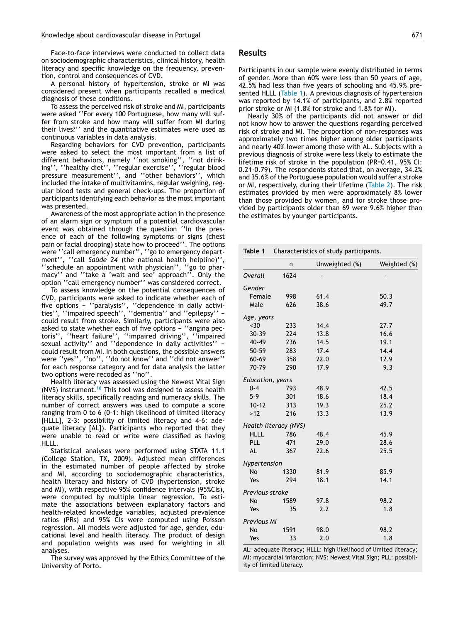Face-to-face interviews were conducted to collect data on sociodemographic characteristics, clinical history, health literacy and specific knowledge on the frequency, prevention, control and consequences of CVD.

A personal history of hypertension, stroke or MI was considered present when participants recalled a medical diagnosis of these conditions.

To assess the perceived risk of stroke and MI, participants were asked ''For every 100 Portuguese, how many will suffer from stroke and how many will suffer from MI during their lives?'' and the quantitative estimates were used as continuous variables in data analysis.

Regarding behaviors for CVD prevention, participants were asked to select the most important from a list of different behaviors, namely ''not smoking'', ''not drinking'', ''healthy diet'', ''regular exercise'', ''regular blood pressure measurement'', and ''other behaviors'', which included the intake of multivitamins, regular weighing, regular blood tests and general check-ups. The proportion of participants identifying each behavior as the most important was presented.

Awareness of the most appropriate action in the presence of an alarm sign or symptom of a potential cardiovascular event was obtained through the question ''In the presence of each of the following symptoms or signs (chest pain or facial drooping) state how to proceed''. The options were ''call emergency number'', ''go to emergency department'', ''call *Saúde 24* (the national health helpline)'', ''schedule an appointment with physician'', ''go to pharmacy'' and ''take a 'wait and see' approach''. Only the option ''call emergency number'' was considered correct.

To assess knowledge on the potential consequences of CVD, participants were asked to indicate whether each of five options – ''paralysis'', ''dependence in daily activities'', ''impaired speech'', ''dementia'' and ''epilepsy'' – could result from stroke. Similarly, participants were also asked to state whether each of five options - "angina pectoris'', ''heart failure'', ''impaired driving'', ''impaired sexual activity" and "dependence in daily activities"  $$ could result from MI. In both questions, the possible answers were ''yes'', ''no'', ''do not know'' and ''did not answer'' for each response category and for data analysis the latter two options were recoded as ''no''.

Health literacy was assessed using the Newest Vital Sign (NVS) instrument.<sup>[16](#page-7-0)</sup> This tool was designed to assess health literacy skills, specifically reading and numeracy skills. The number of correct answers was used to compute a score ranging from 0 to 6 (0-1: high likelihood of limited literacy [HLLL], 2-3: possibility of limited literacy and 4-6: adequate literacy [AL]). Participants who reported that they were unable to read or write were classified as having HLLL.

Statistical analyses were performed using STATA 11.1 (College Station, TX, 2009). Adjusted mean differences in the estimated number of people affected by stroke and MI, according to sociodemographic characteristics, health literacy and history of CVD (hypertension, stroke and MI), with respective 95% confidence intervals (95%CIs), were computed by multiple linear regression. To estimate the associations between explanatory factors and health-related knowledge variables, adjusted prevalence ratios (PRs) and 95% CIs were computed using Poisson regression. All models were adjusted for age, gender, educational level and health literacy. The product of design and population weights was used for weighting in all analyses.

The survey was approved by the Ethics Committee of the University of Porto.

#### **Results**

Participants in our sample were evenly distributed in terms of gender. More than 60% were less than 50 years of age, 42.5% had less than five years of schooling and 45.9% presented HLLL (Table 1). A previous diagnosis of hypertension was reported by 14.1% of participants, and 2.8% reported prior stroke or MI (1.8% for stroke and 1.8% for MI).

Nearly 30% of the participants did not answer or did not know how to answer the questions regarding perceived risk of stroke and MI. The proportion of non-responses was approximately two times higher among older participants and nearly 40% lower among those with AL. Subjects with a previous diagnosis of stroke were less likely to estimate the lifetime risk of stroke in the population (PR=0.41, 95% CI: 0.21-0.79). The respondents stated that, on average, 34.2% and 35.6% of the Portuguese population would suffer a stroke or MI, respectively, during their lifetime [\(Table](#page-4-0) 2). The risk estimates provided by men were approximately 8% lower than those provided by women, and for stroke those provided by participants older than 69 were 9.6% higher than the estimates by younger participants.

| Table 1<br>Characteristics of study participants. |      |                |              |  |  |  |
|---------------------------------------------------|------|----------------|--------------|--|--|--|
|                                                   | n    | Unweighted (%) | Weighted (%) |  |  |  |
| Overall                                           | 1624 |                |              |  |  |  |
| Gender                                            |      |                |              |  |  |  |
| Female                                            | 998  | 61.4           | 50.3         |  |  |  |
| Male                                              | 626  | 38.6           | 49.7         |  |  |  |
| Age, years                                        |      |                |              |  |  |  |
| ~50                                               | 233  | 14.4           | 27.7         |  |  |  |
| 30-39                                             | 224  | 13.8           | 16.6         |  |  |  |
| 40-49                                             | 236  | 14.5           | 19.1         |  |  |  |
| 50-59                                             | 283  | 17.4           | 14.4         |  |  |  |
| $60 - 69$                                         | 358  | 22.0           | 12.9         |  |  |  |
| 70-79                                             | 290  | 17.9           | 9.3          |  |  |  |
| Education, years                                  |      |                |              |  |  |  |
| $0 - 4$                                           | 793  | 48.9           | 42.5         |  |  |  |
| $5-9$                                             | 301  | 18.6           | 18.4         |  |  |  |
| $10 - 12$                                         | 313  | 19.3           | 25.2         |  |  |  |
| $>12$                                             | 216  | 13.3           | 13.9         |  |  |  |
| Health literacy (NVS)                             |      |                |              |  |  |  |
| <b>HLLL</b>                                       | 786  | 48.4           | 45.9         |  |  |  |
| PLL                                               | 471  | 29.0           | 28.6         |  |  |  |
| AL                                                | 367  | 22.6           | 25.5         |  |  |  |
| Hypertension                                      |      |                |              |  |  |  |
| No                                                | 1330 | 81.9           | 85.9         |  |  |  |
| Yes                                               | 294  | 18.1           | 14.1         |  |  |  |
| Previous stroke                                   |      |                |              |  |  |  |
| No                                                | 1589 | 97.8           | 98.2         |  |  |  |
| Yes                                               | 35   | 2.2            | 1.8          |  |  |  |
| <b>Previous MI</b>                                |      |                |              |  |  |  |
| No                                                | 1591 | 98.0           | 98.2         |  |  |  |
| Yes                                               | 33   | 2.0            | 1.8          |  |  |  |

AL: adequate literacy; HLLL: high likelihood of limited literacy; MI: myocardial infarction; NVS: Newest Vital Sign; PLL: possibility of limited literacy.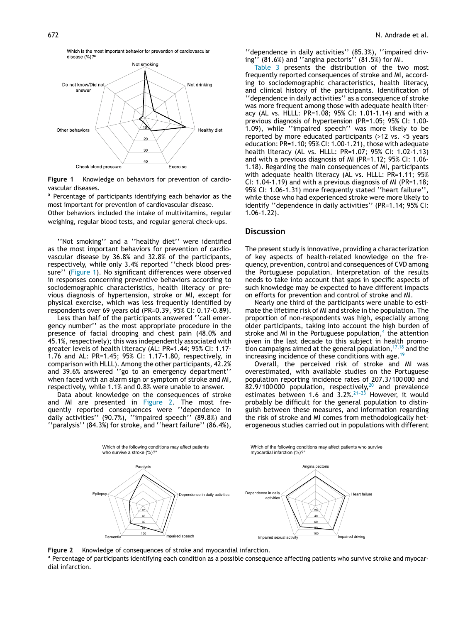

**Figure 1** Knowledge on behaviors for prevention of cardiovascular diseases.

a Percentage of participants identifying each behavior as the most important for prevention of cardiovascular disease.

Other behaviors included the intake of multivitamins, regular weighing, regular blood tests, and regular general check-ups.

''Not smoking'' and a ''healthy diet'' were identified as the most important behaviors for prevention of cardiovascular disease by 36.8% and 32.8% of the participants, respectively, while only 3.4% reported ''check blood pressure'' (Figure 1). No significant differences were observed in responses concerning preventive behaviors according to sociodemographic characteristics, health literacy or previous diagnosis of hypertension, stroke or MI, except for physical exercise, which was less frequently identified by respondents over 69 years old (PR=0.39, 95% CI: 0.17-0.89).

Less than half of the participants answered ''call emergency number'' as the most appropriate procedure in the presence of facial drooping and chest pain (48.0% and 45.1%, respectively); this was independently associated with greater levels of health literacy (AL: PR=1.44; 95% CI: 1.17- 1.76 and AL: PR=1.45; 95% CI: 1.17-1.80, respectively, in comparison with HLLL). Among the other participants, 42.2% and 39.6% answered ''go to an emergency department'' when faced with an alarm sign or symptom of stroke and MI, respectively, while 1.1% and 0.8% were unable to answer.

Data about knowledge on the consequences of stroke and MI are presented in Figure 2. The most frequently reported consequences were ''dependence in daily activities'' (90.7%), ''impaired speech'' (89.8%) and ''paralysis'' (84.3%) for stroke, and ''heart failure'' (86.4%),

''dependence in daily activities'' (85.3%), ''impaired driving'' (81.6%) and ''angina pectoris'' (81.5%) for MI.

[Table](#page-5-0) 3 presents the distribution of the two most frequently reported consequences of stroke and MI, according to sociodemographic characteristics, health literacy, and clinical history of the participants. Identification of ''dependence in daily activities'' as a consequence of stroke was more frequent among those with adequate health literacy (AL vs. HLLL: PR=1.08; 95% CI: 1.01-1.14) and with a previous diagnosis of hypertension (PR=1.05; 95% CI: 1.00- 1.09), while ''impaired speech'' was more likely to be reported by more educated participants (>12 vs. <5 years education: PR=1.10; 95% CI: 1.00-1.21), those with adequate health literacy (AL vs. HLLL: PR=1.07; 95% CI: 1.02-1.13) and with a previous diagnosis of MI (PR=1.12; 95% CI: 1.06- 1.18). Regarding the main consequences of MI, participants with adequate health literacy (AL vs. HLLL: PR=1.11; 95% CI: 1.04-1.19) and with a previous diagnosis of MI (PR=1.18; 95% CI: 1.06-1.31) more frequently stated ''heart failure'', while those who had experienced stroke were more likely to identify ''dependence in daily activities'' (PR=1.14; 95% CI: 1.06-1.22).

#### **Discussion**

The present study is innovative, providing a characterization of key aspects of health-related knowledge on the frequency, prevention, control and consequences of CVD among the Portuguese population. Interpretation of the results needs to take into account that gaps in specific aspects of such knowledge may be expected to have different impacts on efforts for prevention and control of stroke and MI.

Nearly one third of the participants were unable to estimate the lifetime risk of MI and stroke in the population. The proportion of non-respondents was high, especially among older participants, taking into account the high burden of stroke and MI in the Portuguese population,<sup>[4](#page-7-0)</sup> the attention given in the last decade to this subject in health promotion campaigns aimed at the general population,  $17,18$  and the increasing incidence of these conditions with age.<sup>[19](#page-7-0)</sup>

Overall, the perceived risk of stroke and MI was overestimated, with available studies on the Portuguese population reporting incidence rates of 207.3/100 000 and 82.9/100000 population, respectively, $20$  and prevalence estimates between 1.6 and  $3.2\%$ .  $21-23$  However, it would probably be difficult for the general population to distinguish between these measures, and information regarding the risk of stroke and MI comes from methodologically heterogeneous studies carried out in populations with different



**Figure 2** Knowledge of consequences of stroke and myocardial infarction.

a Percentage of participants identifying each condition as a possible consequence affecting patients who survive stroke and myocardial infarction.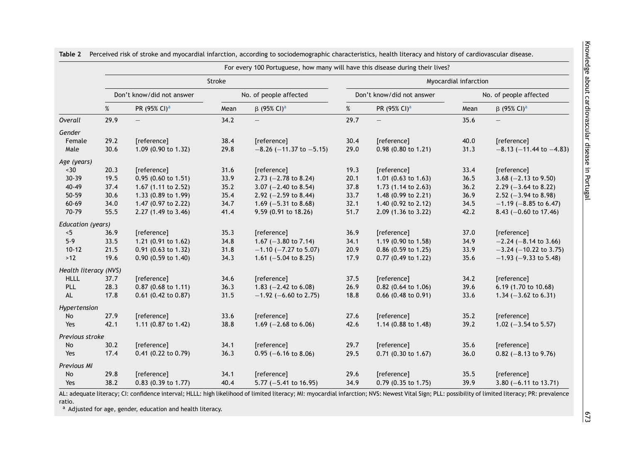|                              | For every 100 Portuguese, how many will have this disease during their lives? |                           |      |                                  |      |                           |      |                                  |  |
|------------------------------|-------------------------------------------------------------------------------|---------------------------|------|----------------------------------|------|---------------------------|------|----------------------------------|--|
|                              |                                                                               | Stroke                    |      |                                  |      | Myocardial infarction     |      |                                  |  |
|                              |                                                                               | Don't know/did not answer |      | No. of people affected           |      | Don't know/did not answer |      | No. of people affected           |  |
|                              | %                                                                             | PR (95% CI) <sup>a</sup>  | Mean | $β$ (95% CI) <sup>a</sup>        | %    | PR (95% CI) <sup>a</sup>  | Mean | $β$ (95% CI) <sup>a</sup>        |  |
| Overall                      | 29.9                                                                          |                           | 34.2 |                                  | 29.7 |                           | 35.6 |                                  |  |
| Gender                       |                                                                               |                           |      |                                  |      |                           |      |                                  |  |
| Female                       | 29.2                                                                          | [reference]               | 38.4 | [reference]                      | 30.4 | [reference]               | 40.0 | [reference]                      |  |
| Male                         | 30.6                                                                          | 1.09 (0.90 to 1.32)       | 29.8 | $-8.26$ ( $-11.37$ to $-5.15$ )  | 29.0 | 0.98 (0.80 to 1.21)       | 31.3 | $-8.13$ ( $-11.44$ to $-4.83$ )  |  |
| Age (years)                  |                                                                               |                           |      |                                  |      |                           |      |                                  |  |
| ~50                          | 20.3                                                                          | [reference]               | 31.6 | [reference]                      | 19.3 | [reference]               | 33.4 | [reference]                      |  |
| $30 - 39$                    | 19.5                                                                          | 0.95 (0.60 to 1.51)       | 33.9 | 2.73 $(-2.78 \text{ to } 8.24)$  | 20.1 | 1.01 (0.63 to 1.63)       | 36.5 | 3.68 $(-2.13$ to 9.50)           |  |
| $40 - 49$                    | 37.4                                                                          | 1.67 (1.11 to 2.52)       | 35.2 | 3.07 $(-2.40 \text{ to } 8.54)$  | 37.8 | 1.73 (1.14 to 2.63)       | 36.2 | $2.29$ (-3.64 to 8.22)           |  |
| 50-59                        | 30.6                                                                          | 1.33 (0.89 to 1.99)       | 35.4 | 2.92 $(-2.59$ to 8.44)           | 33.7 | 1.48 (0.99 to 2.21)       | 36.9 | 2.52 $(-3.94 \text{ to } 8.98)$  |  |
| 60-69                        | 34.0                                                                          | 1.47 (0.97 to 2.22)       | 34.7 | 1.69 $(-5.31 \text{ to } 8.68)$  | 32.1 | 1.40 (0.92 to 2.12)       | 34.5 | $-1.19$ (-8.85 to 6.47)          |  |
| 70-79                        | 55.5                                                                          | 2.27 (1.49 to 3.46)       | 41.4 | 9.59 (0.91 to 18.26)             | 51.7 | 2.09 (1.36 to 3.22)       | 42.2 | 8.43 $(-0.60 \text{ to } 17.46)$ |  |
| Education (years)            |                                                                               |                           |      |                                  |      |                           |      |                                  |  |
| < 5                          | 36.9                                                                          | [reference]               | 35.3 | [reference]                      | 36.9 | [reference]               | 37.0 | [reference]                      |  |
| $5-9$                        | 33.5                                                                          | 1.21 (0.91 to 1.62)       | 34.8 | 1.67 $(-3.80 \text{ to } 7.14)$  | 34.1 | 1.19 (0.90 to 1.58)       | 34.9 | $-2.24$ ( $-8.14$ to 3.66)       |  |
| $10 - 12$                    | 21.5                                                                          | 0.91 (0.63 to 1.32)       | 31.8 | $-1.10$ ( $-7.27$ to 5.07)       | 20.9 | $0.86$ (0.59 to 1.25)     | 33.9 | $-3.24$ ( $-10.22$ to 3.75)      |  |
| $>12$                        | 19.6                                                                          | $0.90$ (0.59 to 1.40)     | 34.3 | 1.61 $(-5.04 \text{ to } 8.25)$  | 17.9 | 0.77 (0.49 to 1.22)       | 35.6 | $-1.93$ ( $-9.33$ to 5.48)       |  |
| Health literacy (NVS)        |                                                                               |                           |      |                                  |      |                           |      |                                  |  |
| <b>HLLL</b>                  | 37.7                                                                          | [reference]               | 34.6 | [reference]                      | 37.5 | [reference]               | 34.2 | [reference]                      |  |
| PLL                          | 28.3                                                                          | 0.87 (0.68 to 1.11)       | 36.3 | 1.83 $(-2.42 \text{ to } 6.08)$  | 26.9 | 0.82 (0.64 to 1.06)       | 39.6 | 6.19 (1.70 to 10.68)             |  |
| AL                           | 17.8                                                                          | $0.61$ (0.42 to 0.87)     | 31.5 | $-1.92$ (-6.60 to 2.75)          | 18.8 | $0.66$ (0.48 to 0.91)     | 33.6 | 1.34 $(-3.62 \text{ to } 6.31)$  |  |
| Hypertension                 |                                                                               |                           |      |                                  |      |                           |      |                                  |  |
| No                           | 27.9                                                                          | [reference]               | 33.6 | [reference]                      | 27.6 | [reference]               | 35.2 | [reference]                      |  |
| Yes                          | 42.1                                                                          | 1.11 (0.87 to 1.42)       | 38.8 | 1.69 $(-2.68 \text{ to } 6.06)$  | 42.6 | 1.14 (0.88 to 1.48)       | 39.2 | 1.02 $(-3.54$ to 5.57)           |  |
| Previous stroke              |                                                                               |                           |      |                                  |      |                           |      |                                  |  |
| $\operatorname{\mathsf{No}}$ | 30.2                                                                          | [reference]               | 34.1 | [reference]                      | 29.7 | [reference]               | 35.6 | [reference]                      |  |
| Yes                          | 17.4                                                                          | 0.41 (0.22 to 0.79)       | 36.3 | $0.95$ (-6.16 to 8.06)           | 29.5 | 0.71 (0.30 to 1.67)       | 36.0 | $0.82$ (-8.13 to 9.76)           |  |
| Previous MI                  |                                                                               |                           |      |                                  |      |                           |      |                                  |  |
| No                           | 29.8                                                                          | [reference]               | 34.1 | [reference]                      | 29.6 | [reference]               | 35.5 | [reference]                      |  |
| Yes                          | 38.2                                                                          | 0.83 (0.39 to 1.77)       | 40.4 | 5.77 $(-5.41 \text{ to } 16.95)$ | 34.9 | $0.79$ (0.35 to 1.75)     | 39.9 | 3.80 $(-6.11$ to 13.71)          |  |

<span id="page-4-0"></span>**Table 2** Perceived risk of stroke and myocardial infarction, according to sociodemographic characteristics, health literacy and history of cardiovascular disease.

AL: adequate literacy; CI: confidence interval; HLLL: high likelihood of limited literacy; MI: myocardial infarction; NVS: Newest Vital Sign; PLL: possibility of limited literacy; PR: prevalence ratio.

a Adjusted for age, gender, education and health literacy.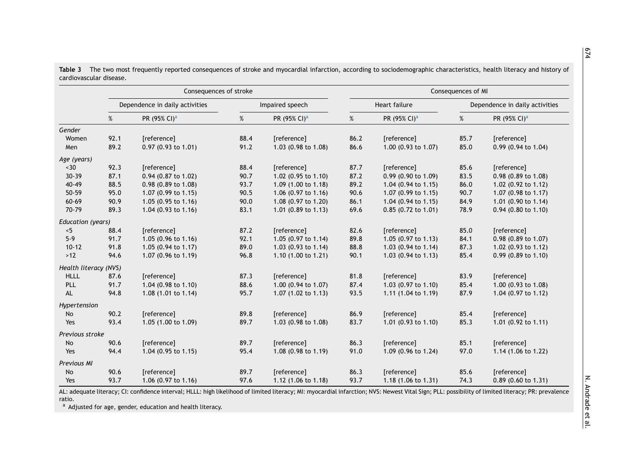|                       | Consequences of stroke         |                          |                 |                                | Consequences of MI |                                |                                |                          |
|-----------------------|--------------------------------|--------------------------|-----------------|--------------------------------|--------------------|--------------------------------|--------------------------------|--------------------------|
|                       | Dependence in daily activities |                          | Impaired speech |                                | Heart failure      |                                | Dependence in daily activities |                          |
|                       | %                              | PR (95% CI) <sup>a</sup> | %               | PR (95% CI) <sup>a</sup>       | %                  | PR (95% CI) <sup>a</sup>       | %                              | PR (95% CI) <sup>a</sup> |
| Gender                |                                |                          |                 |                                |                    |                                |                                |                          |
| Women                 | 92.1                           | [reference]              | 88.4            | [reference]                    | 86.2               | [reference]                    | 85.7                           | [reference]              |
| Men                   | 89.2                           | $0.97$ (0.93 to 1.01)    | 91.2            | 1.03 (0.98 to 1.08)            | 86.6               | 1.00 (0.93 to 1.07)            | 85.0                           | 0.99 (0.94 to 1.04)      |
| Age (years)           |                                |                          |                 |                                |                    |                                |                                |                          |
| $~1$ - 30             | 92.3                           | [reference]              | 88.4            | [reference]                    | 87.7               | [reference]                    | 85.6                           | [reference]              |
| $30 - 39$             | 87.1                           | 0.94 (0.87 to 1.02)      | 90.7            | 1.02 (0.95 to 1.10)            | 87.2               | $0.99$ (0.90 to 1.09)          | 83.5                           | 0.98 (0.89 to 1.08)      |
| 40-49                 | 88.5                           | 0.98 (0.89 to 1.08)      | 93.7            | 1.09 (1.00 to 1.18)            | 89.2               | 1.04 (0.94 to 1.15)            | 86.0                           | 1.02 (0.92 to 1.12)      |
| 50-59                 | 95.0                           | 1.07 (0.99 to 1.15)      | 90.5            | 1.06 $(0.97 \text{ to } 1.16)$ | 90.6               | $1.07$ (0.99 to 1.15)          | 90.7                           | 1.07 (0.98 to 1.17)      |
| 60-69                 | 90.9                           | 1.05 (0.95 to 1.16)      | 90.0            | 1.08 (0.97 to 1.20)            | 86.1               | 1.04 $(0.94 \text{ to } 1.15)$ | 84.9                           | 1.01 (0.90 to 1.14)      |
| 70-79                 | 89.3                           | 1.04 (0.93 to 1.16)      | 83.1            | 1.01 (0.89 to 1.13)            | 69.6               | $0.85$ (0.72 to 1.01)          | 78.9                           | $0.94$ (0.80 to 1.10)    |
| Education (years)     |                                |                          |                 |                                |                    |                                |                                |                          |
| < 5                   | 88.4                           | [reference]              | 87.2            | [reference]                    | 82.6               | [reference]                    | 85.0                           | [reference]              |
| $5-9$                 | 91.7                           | 1.05 (0.96 to 1.16)      | 92.1            | 1.05 (0.97 to 1.14)            | 89.8               | 1.05 (0.97 to 1.13)            | 84.1                           | 0.98 (0.89 to 1.07)      |
| $10 - 12$             | 91.8                           | 1.05 (0.94 to 1.17)      | 89.0            | 1.03 (0.93 to 1.14)            | 88.8               | 1.03 (0.94 to $1.14$ )         | 87.3                           | 1.02 (0.93 to 1.12)      |
| $>12$                 | 94.6                           | 1.07 (0.96 to 1.19)      | 96.8            | 1.10 (1.00 to 1.21)            | 90.1               | 1.03 (0.94 to 1.13)            | 85.4                           | 0.99 (0.89 to 1.10)      |
| Health literacy (NVS) |                                |                          |                 |                                |                    |                                |                                |                          |
| <b>HLLL</b>           | 87.6                           | [reference]              | 87.3            | [reference]                    | 81.8               | [reference]                    | 83.9                           | [reference]              |
| PLL                   | 91.7                           | 1.04 (0.98 to 1.10)      | 88.6            | 1.00 (0.94 to 1.07)            | 87.4               | 1.03 $(0.97 \text{ to } 1.10)$ | 85.4                           | 1.00 $(0.93$ to 1.08)    |
| AL.                   | 94.8                           | 1.08 (1.01 to 1.14)      | 95.7            | 1.07 $(1.02 \text{ to } 1.13)$ | 93.5               | 1.11 $(1.04 \text{ to } 1.19)$ | 87.9                           | 1.04 (0.97 to 1.12)      |
| Hypertension          |                                |                          |                 |                                |                    |                                |                                |                          |
| No                    | 90.2                           | [reference]              | 89.8            | [reference]                    | 86.9               | [reference]                    | 85.4                           | [reference]              |
| Yes                   | 93.4                           | 1.05 (1.00 to 1.09)      | 89.7            | 1.03 (0.98 to 1.08)            | 83.7               | 1.01 (0.93 to 1.10)            | 85.3                           | 1.01 (0.92 to 1.11)      |
| Previous stroke       |                                |                          |                 |                                |                    |                                |                                |                          |
| No                    | 90.6                           | [reference]              | 89.7            | [reference]                    | 86.3               | [reference]                    | 85.1                           | [reference]              |
| Yes                   | 94.4                           | 1.04 (0.95 to 1.15)      | 95.4            | 1.08 (0.98 to 1.19)            | 91.0               | 1.09 (0.96 to 1.24)            | 97.0                           | 1.14 (1.06 to 1.22)      |
| Previous MI           |                                |                          |                 |                                |                    |                                |                                |                          |
| No                    | 90.6                           | [reference]              | 89.7            | [reference]                    | 86.3               | [reference]                    | 85.6                           | [reference]              |
| Yes                   | 93.7                           | 1.06 (0.97 to 1.16)      | 97.6            | 1.12 (1.06 to 1.18)            | 93.7               | 1.18 $(1.06 \text{ to } 1.31)$ | 74.3                           | 0.89 (0.60 to 1.31)      |

<span id="page-5-0"></span>**Table 3** The two most frequently reported consequences of stroke and myocardial infarction, according to sociodemographic characteristics, health literacy and history of cardiovascular disease.

AL: adequate literacy; CI: confidence interval; HLLL: high likelihood of limited literacy; MI: myocardial infarction; NVS: Newest Vital Sign; PLL: possibility of limited literacy; PR: prevalence ratio.

<sup>a</sup> Adjusted for age, gender, education and health literacy.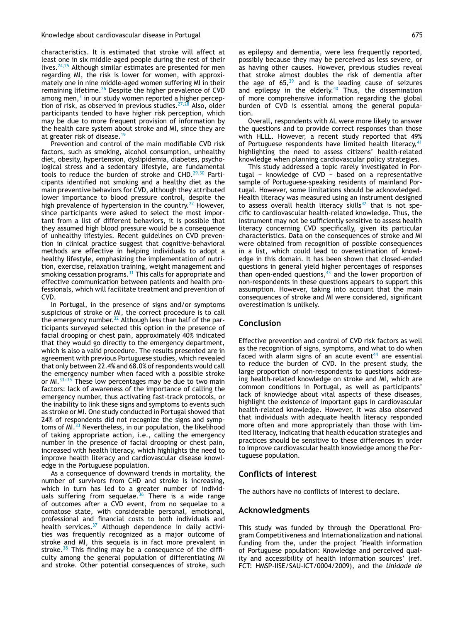characteristics. It is estimated that stroke will affect at least one in six middle-aged people during the rest of their lives.  $24,25$  Although similar estimates are presented for men regarding MI, the risk is lower for women, with approximately one in nine middle-aged women suffering MI in their remaining lifetime.[26](#page-7-0) Despite the higher prevalence of CVD among men, $^3$  $^3$  in our study women reported a higher perception of risk, as observed in previous studies. $27,28$  Also, older participants tended to have higher risk perception, which may be due to more frequent provision of information by the health care system about stroke and MI, since they are at greater risk of disease.<sup>[19](#page-7-0)</sup>

Prevention and control of the main modifiable CVD risk factors, such as smoking, alcohol consumption, unhealthy diet, obesity, hypertension, dyslipidemia, diabetes, psychological stress and a sedentary lifestyle, are fundamental tools to reduce the burden of stroke and CHD. $29,30$  Participants identified not smoking and a healthy diet as the main preventive behaviors for CVD, although they attributed lower importance to blood pressure control, despite the high prevalence of hypertension in the country.<sup>[22](#page-7-0)</sup> However, since participants were asked to select the most important from a list of different behaviors, it is possible that they assumed high blood pressure would be a consequence of unhealthy lifestyles. Recent guidelines on CVD prevention in clinical practice suggest that cognitive-behavioral methods are effective in helping individuals to adopt a healthy lifestyle, emphasizing the implementation of nutrition, exercise, relaxation training, weight management and smoking cessation programs. $31$  This calls for appropriate and effective communication between patients and health professionals, which will facilitate treatment and prevention of CVD.

In Portugal, in the presence of signs and/or symptoms suspicious of stroke or MI, the correct procedure is to call the emergency number.<sup>[32](#page-7-0)</sup> Although less than half of the participants surveyed selected this option in the presence of facial drooping or chest pain, approximately 40% indicated that they would go directly to the emergency department, which is also a valid procedure. The results presented are in agreement with previous Portuguese studies, which revealed that only between 22.4% and 68.0% of respondents would call the emergency number when faced with a possible stroke or MI. $33-35$  These low percentages may be due to two main factors: lack of awareness of the importance of calling the emergency number, thus activating fast-track protocols, or the inability to link these signs and symptoms to events such as stroke or MI. One study conducted in Portugal showed that 24% of respondents did not recognize the signs and symp-toms of MI.<sup>[33](#page-7-0)</sup> Nevertheless, in our population, the likelihood of taking appropriate action, i.e., calling the emergency number in the presence of facial drooping or chest pain, increased with health literacy, which highlights the need to improve health literacy and cardiovascular disease knowledge in the Portuguese population.

As a consequence of downward trends in mortality, the number of survivors from CHD and stroke is increasing, which in turn has led to a greater number of individ-uals suffering from sequelae.<sup>[36](#page-8-0)</sup> There is a wide range of outcomes after a CVD event, from no sequelae to a comatose state, with considerable personal, emotional, professional and financial costs to both individuals and health services.<sup>[37](#page-8-0)</sup> Although dependence in daily activities was frequently recognized as a major outcome of stroke and MI, this sequela is in fact more prevalent in stroke. $38$  This finding may be a consequence of the difficulty among the general population of differentiating MI and stroke. Other potential consequences of stroke, such as epilepsy and dementia, were less frequently reported, possibly because they may be perceived as less severe, or as having other causes. However, previous studies reveal that stroke almost doubles the risk of dementia after the age of  $65$ ,<sup>[39](#page-8-0)</sup> and is the leading cause of seizures and epilepsy in the elderly.<sup>[40](#page-8-0)</sup> Thus, the dissemination of more comprehensive information regarding the global burden of CVD is essential among the general population.

Overall, respondents with AL were more likely to answer the questions and to provide correct responses than those with HLLL. However, a recent study reported that 49% of Portuguese respondents have limited health literacy, [41](#page-8-0) highlighting the need to assess citizens' health-related knowledge when planning cardiovascular policy strategies.

This study addressed a topic rarely investigated in Portugal - knowledge of  $CVD$  - based on a representative sample of Portuguese-speaking residents of mainland Portugal. However, some limitations should be acknowledged. Health literacy was measured using an instrument designed to assess overall health literacy skills<sup>[42](#page-8-0)</sup> that is not specific to cardiovascular health-related knowledge. Thus, the instrument may not be sufficiently sensitive to assess health literacy concerning CVD specifically, given its particular characteristics. Data on the consequences of stroke and MI were obtained from recognition of possible consequences in a list, which could lead to overestimation of knowledge in this domain. It has been shown that closed-ended questions in general yield higher percentages of responses than open-ended questions,  $43$  and the lower proportion of non-respondents in these questions appears to support this assumption. However, taking into account that the main consequences of stroke and MI were considered, significant overestimation is unlikely.

## **Conclusion**

Effective prevention and control of CVD risk factors as well as the recognition of signs, symptoms, and what to do when faced with alarm signs of an acute event<sup>[44](#page-8-0)</sup> are essential to reduce the burden of CVD. In the present study, the large proportion of non-respondents to questions addressing health-related knowledge on stroke and MI, which are common conditions in Portugal, as well as participants' lack of knowledge about vital aspects of these diseases, highlight the existence of important gaps in cardiovascular health-related knowledge. However, it was also observed that individuals with adequate health literacy responded more often and more appropriately than those with limited literacy, indicating that health education strategies and practices should be sensitive to these differences in order to improve cardiovascular health knowledge among the Portuguese population.

# **Conflicts of interest**

The authors have no conflicts of interest to declare.

## **Acknowledgments**

This study was funded by through the Operational Program Competitiveness and Internationalization and national funding from the, under the project 'Health information of Portuguese population: Knowledge and perceived quality and accessibility of health information sources' (ref. FCT: HMSP-IISE/SAU-ICT/0004/2009), and the *Unidade de*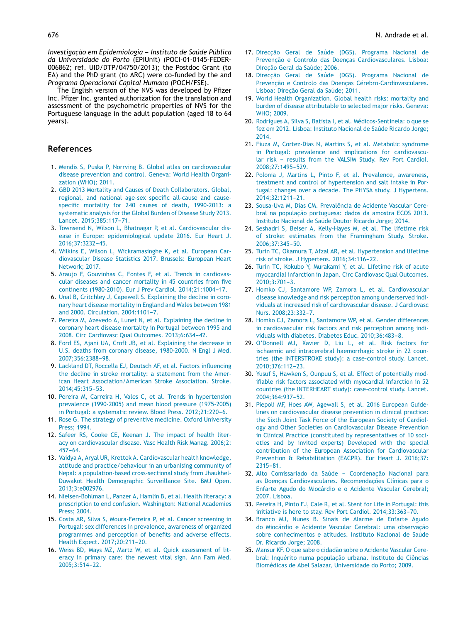<span id="page-7-0"></span>*Investigac¸ão em Epidemiologia --- Instituto de Saúde Pública da Universidade do Porto* (EPIUnit) (POCI-01-0145-FEDER-006862; ref. UID/DTP/04750/2013); the Postdoc Grant (to EA) and the PhD grant (to ARC) were co-funded by the and *Programa Operacional Capital Humano* (POCH/FSE).

The English version of the NVS was developed by Pfizer Inc. Pfizer Inc. granted authorization for the translation and assessment of the psychometric properties of NVS for the Portuguese language in the adult population (aged 18 to 64 years).

# **References**

- 1. [Mendis](http://refhub.elsevier.com/S0870-2551(17)30683-2/sbref0225) [S,](http://refhub.elsevier.com/S0870-2551(17)30683-2/sbref0225) [Puska](http://refhub.elsevier.com/S0870-2551(17)30683-2/sbref0225) [P,](http://refhub.elsevier.com/S0870-2551(17)30683-2/sbref0225) [Norrving](http://refhub.elsevier.com/S0870-2551(17)30683-2/sbref0225) [B.](http://refhub.elsevier.com/S0870-2551(17)30683-2/sbref0225) [Global](http://refhub.elsevier.com/S0870-2551(17)30683-2/sbref0225) [atlas](http://refhub.elsevier.com/S0870-2551(17)30683-2/sbref0225) [on](http://refhub.elsevier.com/S0870-2551(17)30683-2/sbref0225) [cardiovascular](http://refhub.elsevier.com/S0870-2551(17)30683-2/sbref0225) [disease](http://refhub.elsevier.com/S0870-2551(17)30683-2/sbref0225) [prevention](http://refhub.elsevier.com/S0870-2551(17)30683-2/sbref0225) [and](http://refhub.elsevier.com/S0870-2551(17)30683-2/sbref0225) [control.](http://refhub.elsevier.com/S0870-2551(17)30683-2/sbref0225) [Geneva:](http://refhub.elsevier.com/S0870-2551(17)30683-2/sbref0225) [World](http://refhub.elsevier.com/S0870-2551(17)30683-2/sbref0225) [Health](http://refhub.elsevier.com/S0870-2551(17)30683-2/sbref0225) [Organi](http://refhub.elsevier.com/S0870-2551(17)30683-2/sbref0225)[zation](http://refhub.elsevier.com/S0870-2551(17)30683-2/sbref0225) [\(WHO\);](http://refhub.elsevier.com/S0870-2551(17)30683-2/sbref0225) [2011.](http://refhub.elsevier.com/S0870-2551(17)30683-2/sbref0225)
- 2. [GBD](http://refhub.elsevier.com/S0870-2551(17)30683-2/sbref0230) [2013](http://refhub.elsevier.com/S0870-2551(17)30683-2/sbref0230) [Mortality](http://refhub.elsevier.com/S0870-2551(17)30683-2/sbref0230) [and](http://refhub.elsevier.com/S0870-2551(17)30683-2/sbref0230) [Causes](http://refhub.elsevier.com/S0870-2551(17)30683-2/sbref0230) [of](http://refhub.elsevier.com/S0870-2551(17)30683-2/sbref0230) [Death](http://refhub.elsevier.com/S0870-2551(17)30683-2/sbref0230) [Collaborators.](http://refhub.elsevier.com/S0870-2551(17)30683-2/sbref0230) [Global,](http://refhub.elsevier.com/S0870-2551(17)30683-2/sbref0230) [regional,](http://refhub.elsevier.com/S0870-2551(17)30683-2/sbref0230) [and](http://refhub.elsevier.com/S0870-2551(17)30683-2/sbref0230) [national](http://refhub.elsevier.com/S0870-2551(17)30683-2/sbref0230) [age-sex](http://refhub.elsevier.com/S0870-2551(17)30683-2/sbref0230) [specific](http://refhub.elsevier.com/S0870-2551(17)30683-2/sbref0230) [all-cause](http://refhub.elsevier.com/S0870-2551(17)30683-2/sbref0230) [and](http://refhub.elsevier.com/S0870-2551(17)30683-2/sbref0230) [cause](http://refhub.elsevier.com/S0870-2551(17)30683-2/sbref0230)[specific](http://refhub.elsevier.com/S0870-2551(17)30683-2/sbref0230) [mortality](http://refhub.elsevier.com/S0870-2551(17)30683-2/sbref0230) [for](http://refhub.elsevier.com/S0870-2551(17)30683-2/sbref0230) [240](http://refhub.elsevier.com/S0870-2551(17)30683-2/sbref0230) [causes](http://refhub.elsevier.com/S0870-2551(17)30683-2/sbref0230) [of](http://refhub.elsevier.com/S0870-2551(17)30683-2/sbref0230) [death,](http://refhub.elsevier.com/S0870-2551(17)30683-2/sbref0230) [1990-2013:](http://refhub.elsevier.com/S0870-2551(17)30683-2/sbref0230) [a](http://refhub.elsevier.com/S0870-2551(17)30683-2/sbref0230) [systematic](http://refhub.elsevier.com/S0870-2551(17)30683-2/sbref0230) [analysis](http://refhub.elsevier.com/S0870-2551(17)30683-2/sbref0230) [for](http://refhub.elsevier.com/S0870-2551(17)30683-2/sbref0230) [the](http://refhub.elsevier.com/S0870-2551(17)30683-2/sbref0230) [Global](http://refhub.elsevier.com/S0870-2551(17)30683-2/sbref0230) [Burden](http://refhub.elsevier.com/S0870-2551(17)30683-2/sbref0230) [of](http://refhub.elsevier.com/S0870-2551(17)30683-2/sbref0230) [Disease](http://refhub.elsevier.com/S0870-2551(17)30683-2/sbref0230) [Study](http://refhub.elsevier.com/S0870-2551(17)30683-2/sbref0230) [2013.](http://refhub.elsevier.com/S0870-2551(17)30683-2/sbref0230) [Lancet.](http://refhub.elsevier.com/S0870-2551(17)30683-2/sbref0230) 2015:385:117-71.
- 3. [Townsend](http://refhub.elsevier.com/S0870-2551(17)30683-2/sbref0235) [N,](http://refhub.elsevier.com/S0870-2551(17)30683-2/sbref0235) [Wilson](http://refhub.elsevier.com/S0870-2551(17)30683-2/sbref0235) [L,](http://refhub.elsevier.com/S0870-2551(17)30683-2/sbref0235) [Bhatnagar](http://refhub.elsevier.com/S0870-2551(17)30683-2/sbref0235) [P,](http://refhub.elsevier.com/S0870-2551(17)30683-2/sbref0235) [et](http://refhub.elsevier.com/S0870-2551(17)30683-2/sbref0235) [al.](http://refhub.elsevier.com/S0870-2551(17)30683-2/sbref0235) [Cardiovascular](http://refhub.elsevier.com/S0870-2551(17)30683-2/sbref0235) [dis](http://refhub.elsevier.com/S0870-2551(17)30683-2/sbref0235)[ease](http://refhub.elsevier.com/S0870-2551(17)30683-2/sbref0235) [in](http://refhub.elsevier.com/S0870-2551(17)30683-2/sbref0235) [Europe:](http://refhub.elsevier.com/S0870-2551(17)30683-2/sbref0235) [epidemiological](http://refhub.elsevier.com/S0870-2551(17)30683-2/sbref0235) [update](http://refhub.elsevier.com/S0870-2551(17)30683-2/sbref0235) [2016.](http://refhub.elsevier.com/S0870-2551(17)30683-2/sbref0235) [Eur](http://refhub.elsevier.com/S0870-2551(17)30683-2/sbref0235) [Heart](http://refhub.elsevier.com/S0870-2551(17)30683-2/sbref0235) [J.](http://refhub.elsevier.com/S0870-2551(17)30683-2/sbref0235) 2016:37:3232-45.
- 4. [Wilkins](http://refhub.elsevier.com/S0870-2551(17)30683-2/sbref0240) [E,](http://refhub.elsevier.com/S0870-2551(17)30683-2/sbref0240) [Wilson](http://refhub.elsevier.com/S0870-2551(17)30683-2/sbref0240) [L,](http://refhub.elsevier.com/S0870-2551(17)30683-2/sbref0240) [Wickramasinghe](http://refhub.elsevier.com/S0870-2551(17)30683-2/sbref0240) [K,](http://refhub.elsevier.com/S0870-2551(17)30683-2/sbref0240) [et](http://refhub.elsevier.com/S0870-2551(17)30683-2/sbref0240) [al.](http://refhub.elsevier.com/S0870-2551(17)30683-2/sbref0240) [European](http://refhub.elsevier.com/S0870-2551(17)30683-2/sbref0240) [Car](http://refhub.elsevier.com/S0870-2551(17)30683-2/sbref0240)[diovascular](http://refhub.elsevier.com/S0870-2551(17)30683-2/sbref0240) [Disease](http://refhub.elsevier.com/S0870-2551(17)30683-2/sbref0240) [Statistics](http://refhub.elsevier.com/S0870-2551(17)30683-2/sbref0240) [2017.](http://refhub.elsevier.com/S0870-2551(17)30683-2/sbref0240) [Brussels:](http://refhub.elsevier.com/S0870-2551(17)30683-2/sbref0240) [European](http://refhub.elsevier.com/S0870-2551(17)30683-2/sbref0240) [Heart](http://refhub.elsevier.com/S0870-2551(17)30683-2/sbref0240) [Network;](http://refhub.elsevier.com/S0870-2551(17)30683-2/sbref0240) [2017.](http://refhub.elsevier.com/S0870-2551(17)30683-2/sbref0240)
- 5. [Araujo](http://refhub.elsevier.com/S0870-2551(17)30683-2/sbref0245) [F,](http://refhub.elsevier.com/S0870-2551(17)30683-2/sbref0245) [Gouvinhas](http://refhub.elsevier.com/S0870-2551(17)30683-2/sbref0245) [C,](http://refhub.elsevier.com/S0870-2551(17)30683-2/sbref0245) [Fontes](http://refhub.elsevier.com/S0870-2551(17)30683-2/sbref0245) [F,](http://refhub.elsevier.com/S0870-2551(17)30683-2/sbref0245) [et](http://refhub.elsevier.com/S0870-2551(17)30683-2/sbref0245) [al.](http://refhub.elsevier.com/S0870-2551(17)30683-2/sbref0245) [Trends](http://refhub.elsevier.com/S0870-2551(17)30683-2/sbref0245) [in](http://refhub.elsevier.com/S0870-2551(17)30683-2/sbref0245) [cardiovas](http://refhub.elsevier.com/S0870-2551(17)30683-2/sbref0245)[cular](http://refhub.elsevier.com/S0870-2551(17)30683-2/sbref0245) [diseases](http://refhub.elsevier.com/S0870-2551(17)30683-2/sbref0245) [and](http://refhub.elsevier.com/S0870-2551(17)30683-2/sbref0245) [cancer](http://refhub.elsevier.com/S0870-2551(17)30683-2/sbref0245) [mortality](http://refhub.elsevier.com/S0870-2551(17)30683-2/sbref0245) [in](http://refhub.elsevier.com/S0870-2551(17)30683-2/sbref0245) [45](http://refhub.elsevier.com/S0870-2551(17)30683-2/sbref0245) [countries](http://refhub.elsevier.com/S0870-2551(17)30683-2/sbref0245) [from](http://refhub.elsevier.com/S0870-2551(17)30683-2/sbref0245) [five](http://refhub.elsevier.com/S0870-2551(17)30683-2/sbref0245) [continents](http://refhub.elsevier.com/S0870-2551(17)30683-2/sbref0245) [\(1980-2010\).](http://refhub.elsevier.com/S0870-2551(17)30683-2/sbref0245) [Eur](http://refhub.elsevier.com/S0870-2551(17)30683-2/sbref0245) [J](http://refhub.elsevier.com/S0870-2551(17)30683-2/sbref0245) [Prev](http://refhub.elsevier.com/S0870-2551(17)30683-2/sbref0245) [Cardiol.](http://refhub.elsevier.com/S0870-2551(17)30683-2/sbref0245) 2014:21:1004-[17.](http://refhub.elsevier.com/S0870-2551(17)30683-2/sbref0245)
- 6. [Unal](http://refhub.elsevier.com/S0870-2551(17)30683-2/sbref0250) [B,](http://refhub.elsevier.com/S0870-2551(17)30683-2/sbref0250) [Critchley](http://refhub.elsevier.com/S0870-2551(17)30683-2/sbref0250) [J,](http://refhub.elsevier.com/S0870-2551(17)30683-2/sbref0250) [Capewell](http://refhub.elsevier.com/S0870-2551(17)30683-2/sbref0250) [S.](http://refhub.elsevier.com/S0870-2551(17)30683-2/sbref0250) [Explaining](http://refhub.elsevier.com/S0870-2551(17)30683-2/sbref0250) [the](http://refhub.elsevier.com/S0870-2551(17)30683-2/sbref0250) [decline](http://refhub.elsevier.com/S0870-2551(17)30683-2/sbref0250) [in](http://refhub.elsevier.com/S0870-2551(17)30683-2/sbref0250) [coro](http://refhub.elsevier.com/S0870-2551(17)30683-2/sbref0250)[nary](http://refhub.elsevier.com/S0870-2551(17)30683-2/sbref0250) [heart](http://refhub.elsevier.com/S0870-2551(17)30683-2/sbref0250) [disease](http://refhub.elsevier.com/S0870-2551(17)30683-2/sbref0250) [mortality](http://refhub.elsevier.com/S0870-2551(17)30683-2/sbref0250) [in](http://refhub.elsevier.com/S0870-2551(17)30683-2/sbref0250) [England](http://refhub.elsevier.com/S0870-2551(17)30683-2/sbref0250) [and](http://refhub.elsevier.com/S0870-2551(17)30683-2/sbref0250) [Wales](http://refhub.elsevier.com/S0870-2551(17)30683-2/sbref0250) [between](http://refhub.elsevier.com/S0870-2551(17)30683-2/sbref0250) [1981](http://refhub.elsevier.com/S0870-2551(17)30683-2/sbref0250) [and](http://refhub.elsevier.com/S0870-2551(17)30683-2/sbref0250) [2000.](http://refhub.elsevier.com/S0870-2551(17)30683-2/sbref0250) [Circulation.](http://refhub.elsevier.com/S0870-2551(17)30683-2/sbref0250) [2004:1101](http://refhub.elsevier.com/S0870-2551(17)30683-2/sbref0250)[-7.](http://refhub.elsevier.com/S0870-2551(17)30683-2/sbref0250)
- 7. [Pereira](http://refhub.elsevier.com/S0870-2551(17)30683-2/sbref0255) [M,](http://refhub.elsevier.com/S0870-2551(17)30683-2/sbref0255) [Azevedo](http://refhub.elsevier.com/S0870-2551(17)30683-2/sbref0255) [A,](http://refhub.elsevier.com/S0870-2551(17)30683-2/sbref0255) [Lunet](http://refhub.elsevier.com/S0870-2551(17)30683-2/sbref0255) [N,](http://refhub.elsevier.com/S0870-2551(17)30683-2/sbref0255) [et](http://refhub.elsevier.com/S0870-2551(17)30683-2/sbref0255) [al.](http://refhub.elsevier.com/S0870-2551(17)30683-2/sbref0255) [Explaining](http://refhub.elsevier.com/S0870-2551(17)30683-2/sbref0255) [the](http://refhub.elsevier.com/S0870-2551(17)30683-2/sbref0255) [decline](http://refhub.elsevier.com/S0870-2551(17)30683-2/sbref0255) [in](http://refhub.elsevier.com/S0870-2551(17)30683-2/sbref0255) [coronary](http://refhub.elsevier.com/S0870-2551(17)30683-2/sbref0255) [heart](http://refhub.elsevier.com/S0870-2551(17)30683-2/sbref0255) [disease](http://refhub.elsevier.com/S0870-2551(17)30683-2/sbref0255) [mortality](http://refhub.elsevier.com/S0870-2551(17)30683-2/sbref0255) [in](http://refhub.elsevier.com/S0870-2551(17)30683-2/sbref0255) [Portugal](http://refhub.elsevier.com/S0870-2551(17)30683-2/sbref0255) [between](http://refhub.elsevier.com/S0870-2551(17)30683-2/sbref0255) [1995](http://refhub.elsevier.com/S0870-2551(17)30683-2/sbref0255) [and](http://refhub.elsevier.com/S0870-2551(17)30683-2/sbref0255) [2008.](http://refhub.elsevier.com/S0870-2551(17)30683-2/sbref0255) [Circ](http://refhub.elsevier.com/S0870-2551(17)30683-2/sbref0255) [Cardiovasc](http://refhub.elsevier.com/S0870-2551(17)30683-2/sbref0255) [Qual](http://refhub.elsevier.com/S0870-2551(17)30683-2/sbref0255) [Outcomes.](http://refhub.elsevier.com/S0870-2551(17)30683-2/sbref0255) [2013;6:634](http://refhub.elsevier.com/S0870-2551(17)30683-2/sbref0255)-[42.](http://refhub.elsevier.com/S0870-2551(17)30683-2/sbref0255)
- 8. [Ford](http://refhub.elsevier.com/S0870-2551(17)30683-2/sbref0260) [ES,](http://refhub.elsevier.com/S0870-2551(17)30683-2/sbref0260) [Ajani](http://refhub.elsevier.com/S0870-2551(17)30683-2/sbref0260) [UA,](http://refhub.elsevier.com/S0870-2551(17)30683-2/sbref0260) [Croft](http://refhub.elsevier.com/S0870-2551(17)30683-2/sbref0260) [JB,](http://refhub.elsevier.com/S0870-2551(17)30683-2/sbref0260) [et](http://refhub.elsevier.com/S0870-2551(17)30683-2/sbref0260) [al.](http://refhub.elsevier.com/S0870-2551(17)30683-2/sbref0260) [Explaining](http://refhub.elsevier.com/S0870-2551(17)30683-2/sbref0260) [the](http://refhub.elsevier.com/S0870-2551(17)30683-2/sbref0260) [decrease](http://refhub.elsevier.com/S0870-2551(17)30683-2/sbref0260) [in](http://refhub.elsevier.com/S0870-2551(17)30683-2/sbref0260) [U.S.](http://refhub.elsevier.com/S0870-2551(17)30683-2/sbref0260) [deaths](http://refhub.elsevier.com/S0870-2551(17)30683-2/sbref0260) [from](http://refhub.elsevier.com/S0870-2551(17)30683-2/sbref0260) [coronary](http://refhub.elsevier.com/S0870-2551(17)30683-2/sbref0260) [disease,](http://refhub.elsevier.com/S0870-2551(17)30683-2/sbref0260) [1980-2000.](http://refhub.elsevier.com/S0870-2551(17)30683-2/sbref0260) [N](http://refhub.elsevier.com/S0870-2551(17)30683-2/sbref0260) [Engl](http://refhub.elsevier.com/S0870-2551(17)30683-2/sbref0260) [J](http://refhub.elsevier.com/S0870-2551(17)30683-2/sbref0260) [Med.](http://refhub.elsevier.com/S0870-2551(17)30683-2/sbref0260) 2007:356:2388-98.
- 9. [Lackland](http://refhub.elsevier.com/S0870-2551(17)30683-2/sbref0265) [DT,](http://refhub.elsevier.com/S0870-2551(17)30683-2/sbref0265) [Roccella](http://refhub.elsevier.com/S0870-2551(17)30683-2/sbref0265) [EJ,](http://refhub.elsevier.com/S0870-2551(17)30683-2/sbref0265) [Deutsch](http://refhub.elsevier.com/S0870-2551(17)30683-2/sbref0265) [AF,](http://refhub.elsevier.com/S0870-2551(17)30683-2/sbref0265) [et](http://refhub.elsevier.com/S0870-2551(17)30683-2/sbref0265) [al.](http://refhub.elsevier.com/S0870-2551(17)30683-2/sbref0265) [Factors](http://refhub.elsevier.com/S0870-2551(17)30683-2/sbref0265) [influencing](http://refhub.elsevier.com/S0870-2551(17)30683-2/sbref0265) [the](http://refhub.elsevier.com/S0870-2551(17)30683-2/sbref0265) [decline](http://refhub.elsevier.com/S0870-2551(17)30683-2/sbref0265) [in](http://refhub.elsevier.com/S0870-2551(17)30683-2/sbref0265) [stroke](http://refhub.elsevier.com/S0870-2551(17)30683-2/sbref0265) [mortality:](http://refhub.elsevier.com/S0870-2551(17)30683-2/sbref0265) [a](http://refhub.elsevier.com/S0870-2551(17)30683-2/sbref0265) [statement](http://refhub.elsevier.com/S0870-2551(17)30683-2/sbref0265) [from](http://refhub.elsevier.com/S0870-2551(17)30683-2/sbref0265) [the](http://refhub.elsevier.com/S0870-2551(17)30683-2/sbref0265) [Amer](http://refhub.elsevier.com/S0870-2551(17)30683-2/sbref0265)[ican](http://refhub.elsevier.com/S0870-2551(17)30683-2/sbref0265) [Heart](http://refhub.elsevier.com/S0870-2551(17)30683-2/sbref0265) [Association/American](http://refhub.elsevier.com/S0870-2551(17)30683-2/sbref0265) [Stroke](http://refhub.elsevier.com/S0870-2551(17)30683-2/sbref0265) [Association.](http://refhub.elsevier.com/S0870-2551(17)30683-2/sbref0265) [Stroke.](http://refhub.elsevier.com/S0870-2551(17)30683-2/sbref0265) 2014:45:315-53.
- 10. [Pereira](http://refhub.elsevier.com/S0870-2551(17)30683-2/sbref0270) [M,](http://refhub.elsevier.com/S0870-2551(17)30683-2/sbref0270) [Carreira](http://refhub.elsevier.com/S0870-2551(17)30683-2/sbref0270) [H,](http://refhub.elsevier.com/S0870-2551(17)30683-2/sbref0270) [Vales](http://refhub.elsevier.com/S0870-2551(17)30683-2/sbref0270) [C,](http://refhub.elsevier.com/S0870-2551(17)30683-2/sbref0270) [et](http://refhub.elsevier.com/S0870-2551(17)30683-2/sbref0270) [al.](http://refhub.elsevier.com/S0870-2551(17)30683-2/sbref0270) [Trends](http://refhub.elsevier.com/S0870-2551(17)30683-2/sbref0270) [in](http://refhub.elsevier.com/S0870-2551(17)30683-2/sbref0270) [hypertension](http://refhub.elsevier.com/S0870-2551(17)30683-2/sbref0270) [prevalence](http://refhub.elsevier.com/S0870-2551(17)30683-2/sbref0270) [\(1990-2005\)](http://refhub.elsevier.com/S0870-2551(17)30683-2/sbref0270) [and](http://refhub.elsevier.com/S0870-2551(17)30683-2/sbref0270) [mean](http://refhub.elsevier.com/S0870-2551(17)30683-2/sbref0270) [blood](http://refhub.elsevier.com/S0870-2551(17)30683-2/sbref0270) [pressure](http://refhub.elsevier.com/S0870-2551(17)30683-2/sbref0270) [\(1975-2005\)](http://refhub.elsevier.com/S0870-2551(17)30683-2/sbref0270) [in](http://refhub.elsevier.com/S0870-2551(17)30683-2/sbref0270) [Portugal:](http://refhub.elsevier.com/S0870-2551(17)30683-2/sbref0270) [a](http://refhub.elsevier.com/S0870-2551(17)30683-2/sbref0270) [systematic](http://refhub.elsevier.com/S0870-2551(17)30683-2/sbref0270) [review.](http://refhub.elsevier.com/S0870-2551(17)30683-2/sbref0270) [Blood](http://refhub.elsevier.com/S0870-2551(17)30683-2/sbref0270) [Press.](http://refhub.elsevier.com/S0870-2551(17)30683-2/sbref0270) 2012;21:220-6.
- 11. [Rose](http://refhub.elsevier.com/S0870-2551(17)30683-2/sbref0275) [G.](http://refhub.elsevier.com/S0870-2551(17)30683-2/sbref0275) [The](http://refhub.elsevier.com/S0870-2551(17)30683-2/sbref0275) [strategy](http://refhub.elsevier.com/S0870-2551(17)30683-2/sbref0275) [of](http://refhub.elsevier.com/S0870-2551(17)30683-2/sbref0275) [preventive](http://refhub.elsevier.com/S0870-2551(17)30683-2/sbref0275) [medicine.](http://refhub.elsevier.com/S0870-2551(17)30683-2/sbref0275) [Oxford](http://refhub.elsevier.com/S0870-2551(17)30683-2/sbref0275) [University](http://refhub.elsevier.com/S0870-2551(17)30683-2/sbref0275) [Press;](http://refhub.elsevier.com/S0870-2551(17)30683-2/sbref0275) [1994.](http://refhub.elsevier.com/S0870-2551(17)30683-2/sbref0275)
- 12. [Safeer](http://refhub.elsevier.com/S0870-2551(17)30683-2/sbref0280) [RS,](http://refhub.elsevier.com/S0870-2551(17)30683-2/sbref0280) [Cooke](http://refhub.elsevier.com/S0870-2551(17)30683-2/sbref0280) [CE,](http://refhub.elsevier.com/S0870-2551(17)30683-2/sbref0280) [Keenan](http://refhub.elsevier.com/S0870-2551(17)30683-2/sbref0280) [J.](http://refhub.elsevier.com/S0870-2551(17)30683-2/sbref0280) [The](http://refhub.elsevier.com/S0870-2551(17)30683-2/sbref0280) [impact](http://refhub.elsevier.com/S0870-2551(17)30683-2/sbref0280) [of](http://refhub.elsevier.com/S0870-2551(17)30683-2/sbref0280) [health](http://refhub.elsevier.com/S0870-2551(17)30683-2/sbref0280) [liter](http://refhub.elsevier.com/S0870-2551(17)30683-2/sbref0280)[acy](http://refhub.elsevier.com/S0870-2551(17)30683-2/sbref0280) [on](http://refhub.elsevier.com/S0870-2551(17)30683-2/sbref0280) [cardiovascular](http://refhub.elsevier.com/S0870-2551(17)30683-2/sbref0280) [disease.](http://refhub.elsevier.com/S0870-2551(17)30683-2/sbref0280) [Vasc](http://refhub.elsevier.com/S0870-2551(17)30683-2/sbref0280) [Health](http://refhub.elsevier.com/S0870-2551(17)30683-2/sbref0280) [Risk](http://refhub.elsevier.com/S0870-2551(17)30683-2/sbref0280) [Manag.](http://refhub.elsevier.com/S0870-2551(17)30683-2/sbref0280) [2006;2:](http://refhub.elsevier.com/S0870-2551(17)30683-2/sbref0280)  $457 - 64.$
- 13. [Vaidya](http://refhub.elsevier.com/S0870-2551(17)30683-2/sbref0285) [A,](http://refhub.elsevier.com/S0870-2551(17)30683-2/sbref0285) [Aryal](http://refhub.elsevier.com/S0870-2551(17)30683-2/sbref0285) [UR,](http://refhub.elsevier.com/S0870-2551(17)30683-2/sbref0285) [Krettek](http://refhub.elsevier.com/S0870-2551(17)30683-2/sbref0285) [A.](http://refhub.elsevier.com/S0870-2551(17)30683-2/sbref0285) [Cardiovascular](http://refhub.elsevier.com/S0870-2551(17)30683-2/sbref0285) [health](http://refhub.elsevier.com/S0870-2551(17)30683-2/sbref0285) [knowledge,](http://refhub.elsevier.com/S0870-2551(17)30683-2/sbref0285) [attitude](http://refhub.elsevier.com/S0870-2551(17)30683-2/sbref0285) [and](http://refhub.elsevier.com/S0870-2551(17)30683-2/sbref0285) [practice/behaviour](http://refhub.elsevier.com/S0870-2551(17)30683-2/sbref0285) [in](http://refhub.elsevier.com/S0870-2551(17)30683-2/sbref0285) [an](http://refhub.elsevier.com/S0870-2551(17)30683-2/sbref0285) [urbanising](http://refhub.elsevier.com/S0870-2551(17)30683-2/sbref0285) [community](http://refhub.elsevier.com/S0870-2551(17)30683-2/sbref0285) [of](http://refhub.elsevier.com/S0870-2551(17)30683-2/sbref0285) [Nepal:](http://refhub.elsevier.com/S0870-2551(17)30683-2/sbref0285) [a](http://refhub.elsevier.com/S0870-2551(17)30683-2/sbref0285) [population-based](http://refhub.elsevier.com/S0870-2551(17)30683-2/sbref0285) [cross-sectional](http://refhub.elsevier.com/S0870-2551(17)30683-2/sbref0285) [study](http://refhub.elsevier.com/S0870-2551(17)30683-2/sbref0285) [from](http://refhub.elsevier.com/S0870-2551(17)30683-2/sbref0285) [Jhaukhel-](http://refhub.elsevier.com/S0870-2551(17)30683-2/sbref0285)[Duwakot](http://refhub.elsevier.com/S0870-2551(17)30683-2/sbref0285) [Health](http://refhub.elsevier.com/S0870-2551(17)30683-2/sbref0285) [Demographic](http://refhub.elsevier.com/S0870-2551(17)30683-2/sbref0285) [Surveillance](http://refhub.elsevier.com/S0870-2551(17)30683-2/sbref0285) [Site.](http://refhub.elsevier.com/S0870-2551(17)30683-2/sbref0285) [BMJ](http://refhub.elsevier.com/S0870-2551(17)30683-2/sbref0285) [Open.](http://refhub.elsevier.com/S0870-2551(17)30683-2/sbref0285) [2013;3:e002976.](http://refhub.elsevier.com/S0870-2551(17)30683-2/sbref0285)
- 14. [Nielsen-Bohlman](http://refhub.elsevier.com/S0870-2551(17)30683-2/sbref0290) [L,](http://refhub.elsevier.com/S0870-2551(17)30683-2/sbref0290) [Panzer](http://refhub.elsevier.com/S0870-2551(17)30683-2/sbref0290) [A,](http://refhub.elsevier.com/S0870-2551(17)30683-2/sbref0290) [Hamlin](http://refhub.elsevier.com/S0870-2551(17)30683-2/sbref0290) [B,](http://refhub.elsevier.com/S0870-2551(17)30683-2/sbref0290) [et](http://refhub.elsevier.com/S0870-2551(17)30683-2/sbref0290) [al.](http://refhub.elsevier.com/S0870-2551(17)30683-2/sbref0290) [Health](http://refhub.elsevier.com/S0870-2551(17)30683-2/sbref0290) [literacy:](http://refhub.elsevier.com/S0870-2551(17)30683-2/sbref0290) [a](http://refhub.elsevier.com/S0870-2551(17)30683-2/sbref0290) [prescription](http://refhub.elsevier.com/S0870-2551(17)30683-2/sbref0290) [to](http://refhub.elsevier.com/S0870-2551(17)30683-2/sbref0290) [end](http://refhub.elsevier.com/S0870-2551(17)30683-2/sbref0290) [confusion.](http://refhub.elsevier.com/S0870-2551(17)30683-2/sbref0290) [Washington:](http://refhub.elsevier.com/S0870-2551(17)30683-2/sbref0290) [National](http://refhub.elsevier.com/S0870-2551(17)30683-2/sbref0290) [Academies](http://refhub.elsevier.com/S0870-2551(17)30683-2/sbref0290) [Press;](http://refhub.elsevier.com/S0870-2551(17)30683-2/sbref0290) [2004.](http://refhub.elsevier.com/S0870-2551(17)30683-2/sbref0290)
- 15. [Costa](http://refhub.elsevier.com/S0870-2551(17)30683-2/sbref0295) [AR,](http://refhub.elsevier.com/S0870-2551(17)30683-2/sbref0295) [Silva](http://refhub.elsevier.com/S0870-2551(17)30683-2/sbref0295) [S,](http://refhub.elsevier.com/S0870-2551(17)30683-2/sbref0295) [Moura-Ferreira](http://refhub.elsevier.com/S0870-2551(17)30683-2/sbref0295) [P,](http://refhub.elsevier.com/S0870-2551(17)30683-2/sbref0295) [et](http://refhub.elsevier.com/S0870-2551(17)30683-2/sbref0295) [al.](http://refhub.elsevier.com/S0870-2551(17)30683-2/sbref0295) [Cancer](http://refhub.elsevier.com/S0870-2551(17)30683-2/sbref0295) [screening](http://refhub.elsevier.com/S0870-2551(17)30683-2/sbref0295) [in](http://refhub.elsevier.com/S0870-2551(17)30683-2/sbref0295) [Portugal:](http://refhub.elsevier.com/S0870-2551(17)30683-2/sbref0295) [sex](http://refhub.elsevier.com/S0870-2551(17)30683-2/sbref0295) [differences](http://refhub.elsevier.com/S0870-2551(17)30683-2/sbref0295) [in](http://refhub.elsevier.com/S0870-2551(17)30683-2/sbref0295) [prevalence,](http://refhub.elsevier.com/S0870-2551(17)30683-2/sbref0295) [awareness](http://refhub.elsevier.com/S0870-2551(17)30683-2/sbref0295) [of](http://refhub.elsevier.com/S0870-2551(17)30683-2/sbref0295) [organized](http://refhub.elsevier.com/S0870-2551(17)30683-2/sbref0295) [programmes](http://refhub.elsevier.com/S0870-2551(17)30683-2/sbref0295) [and](http://refhub.elsevier.com/S0870-2551(17)30683-2/sbref0295) [perception](http://refhub.elsevier.com/S0870-2551(17)30683-2/sbref0295) [of](http://refhub.elsevier.com/S0870-2551(17)30683-2/sbref0295) [benefits](http://refhub.elsevier.com/S0870-2551(17)30683-2/sbref0295) [and](http://refhub.elsevier.com/S0870-2551(17)30683-2/sbref0295) [adverse](http://refhub.elsevier.com/S0870-2551(17)30683-2/sbref0295) [effects.](http://refhub.elsevier.com/S0870-2551(17)30683-2/sbref0295) [Health](http://refhub.elsevier.com/S0870-2551(17)30683-2/sbref0295) [Expect.](http://refhub.elsevier.com/S0870-2551(17)30683-2/sbref0295) [2017;20:211](http://refhub.elsevier.com/S0870-2551(17)30683-2/sbref0295)-[20.](http://refhub.elsevier.com/S0870-2551(17)30683-2/sbref0295)
- 16. [Weiss](http://refhub.elsevier.com/S0870-2551(17)30683-2/sbref0300) [BD,](http://refhub.elsevier.com/S0870-2551(17)30683-2/sbref0300) [Mays](http://refhub.elsevier.com/S0870-2551(17)30683-2/sbref0300) [MZ,](http://refhub.elsevier.com/S0870-2551(17)30683-2/sbref0300) [Martz](http://refhub.elsevier.com/S0870-2551(17)30683-2/sbref0300) [W,](http://refhub.elsevier.com/S0870-2551(17)30683-2/sbref0300) [et](http://refhub.elsevier.com/S0870-2551(17)30683-2/sbref0300) [al.](http://refhub.elsevier.com/S0870-2551(17)30683-2/sbref0300) [Quick](http://refhub.elsevier.com/S0870-2551(17)30683-2/sbref0300) [assessment](http://refhub.elsevier.com/S0870-2551(17)30683-2/sbref0300) [of](http://refhub.elsevier.com/S0870-2551(17)30683-2/sbref0300) [lit](http://refhub.elsevier.com/S0870-2551(17)30683-2/sbref0300)[eracy](http://refhub.elsevier.com/S0870-2551(17)30683-2/sbref0300) [in](http://refhub.elsevier.com/S0870-2551(17)30683-2/sbref0300) [primary](http://refhub.elsevier.com/S0870-2551(17)30683-2/sbref0300) [care:](http://refhub.elsevier.com/S0870-2551(17)30683-2/sbref0300) [the](http://refhub.elsevier.com/S0870-2551(17)30683-2/sbref0300) [newest](http://refhub.elsevier.com/S0870-2551(17)30683-2/sbref0300) [vital](http://refhub.elsevier.com/S0870-2551(17)30683-2/sbref0300) [sign.](http://refhub.elsevier.com/S0870-2551(17)30683-2/sbref0300) [Ann](http://refhub.elsevier.com/S0870-2551(17)30683-2/sbref0300) [Fam](http://refhub.elsevier.com/S0870-2551(17)30683-2/sbref0300) [Med.](http://refhub.elsevier.com/S0870-2551(17)30683-2/sbref0300) 2005;3:514-22.
- 17. Direcção [Geral](http://refhub.elsevier.com/S0870-2551(17)30683-2/sbref0305) [de](http://refhub.elsevier.com/S0870-2551(17)30683-2/sbref0305) [Saúde](http://refhub.elsevier.com/S0870-2551(17)30683-2/sbref0305) [\(DGS\).](http://refhub.elsevier.com/S0870-2551(17)30683-2/sbref0305) [Programa](http://refhub.elsevier.com/S0870-2551(17)30683-2/sbref0305) [Nacional](http://refhub.elsevier.com/S0870-2551(17)30683-2/sbref0305) de Pr[e](http://refhub.elsevier.com/S0870-2551(17)30683-2/sbref0305)venção e [Controlo](http://refhub.elsevier.com/S0870-2551(17)30683-2/sbref0305) [das](http://refhub.elsevier.com/S0870-2551(17)30683-2/sbref0305) Doenças [Cardiovasculares.](http://refhub.elsevier.com/S0870-2551(17)30683-2/sbref0305) [Lisboa:](http://refhub.elsevier.com/S0870-2551(17)30683-2/sbref0305) Direcão [Geral](http://refhub.elsevier.com/S0870-2551(17)30683-2/sbref0305) [da](http://refhub.elsevier.com/S0870-2551(17)30683-2/sbref0305) [Saúde;](http://refhub.elsevier.com/S0870-2551(17)30683-2/sbref0305) [2006.](http://refhub.elsevier.com/S0870-2551(17)30683-2/sbref0305)
- 18. Direcção [Geral](http://refhub.elsevier.com/S0870-2551(17)30683-2/sbref0310) [de](http://refhub.elsevier.com/S0870-2551(17)30683-2/sbref0310) [Saúde](http://refhub.elsevier.com/S0870-2551(17)30683-2/sbref0310) [\(DGS\).](http://refhub.elsevier.com/S0870-2551(17)30683-2/sbref0310) [Programa](http://refhub.elsevier.com/S0870-2551(17)30683-2/sbref0310) [Nacional](http://refhub.elsevier.com/S0870-2551(17)30683-2/sbref0310) de Pr[e](http://refhub.elsevier.com/S0870-2551(17)30683-2/sbref0310)venção e [Controlo](http://refhub.elsevier.com/S0870-2551(17)30683-2/sbref0310) [das](http://refhub.elsevier.com/S0870-2551(17)30683-2/sbref0310) Doenças [Cérebro-Cardiovasculares.](http://refhub.elsevier.com/S0870-2551(17)30683-2/sbref0310) [Lisboa:](http://refhub.elsevier.com/S0870-2551(17)30683-2/sbref0310) Direcão [Geral](http://refhub.elsevier.com/S0870-2551(17)30683-2/sbref0310) [da](http://refhub.elsevier.com/S0870-2551(17)30683-2/sbref0310) [Saúde;](http://refhub.elsevier.com/S0870-2551(17)30683-2/sbref0310) [2011.](http://refhub.elsevier.com/S0870-2551(17)30683-2/sbref0310)
- 19. [World](http://refhub.elsevier.com/S0870-2551(17)30683-2/sbref0315) [Health](http://refhub.elsevier.com/S0870-2551(17)30683-2/sbref0315) [Organization.](http://refhub.elsevier.com/S0870-2551(17)30683-2/sbref0315) [Global](http://refhub.elsevier.com/S0870-2551(17)30683-2/sbref0315) [health](http://refhub.elsevier.com/S0870-2551(17)30683-2/sbref0315) [risks:](http://refhub.elsevier.com/S0870-2551(17)30683-2/sbref0315) [mortality](http://refhub.elsevier.com/S0870-2551(17)30683-2/sbref0315) [and](http://refhub.elsevier.com/S0870-2551(17)30683-2/sbref0315) [burden](http://refhub.elsevier.com/S0870-2551(17)30683-2/sbref0315) [of](http://refhub.elsevier.com/S0870-2551(17)30683-2/sbref0315) [disease](http://refhub.elsevier.com/S0870-2551(17)30683-2/sbref0315) [attributable](http://refhub.elsevier.com/S0870-2551(17)30683-2/sbref0315) [to](http://refhub.elsevier.com/S0870-2551(17)30683-2/sbref0315) [selected](http://refhub.elsevier.com/S0870-2551(17)30683-2/sbref0315) [major](http://refhub.elsevier.com/S0870-2551(17)30683-2/sbref0315) [risks.](http://refhub.elsevier.com/S0870-2551(17)30683-2/sbref0315) [Geneva:](http://refhub.elsevier.com/S0870-2551(17)30683-2/sbref0315) [WHO;](http://refhub.elsevier.com/S0870-2551(17)30683-2/sbref0315) [2009.](http://refhub.elsevier.com/S0870-2551(17)30683-2/sbref0315)
- 20. [Rodrigues](http://refhub.elsevier.com/S0870-2551(17)30683-2/sbref0320) [A,](http://refhub.elsevier.com/S0870-2551(17)30683-2/sbref0320) [Silva](http://refhub.elsevier.com/S0870-2551(17)30683-2/sbref0320) [S,](http://refhub.elsevier.com/S0870-2551(17)30683-2/sbref0320) [Batista](http://refhub.elsevier.com/S0870-2551(17)30683-2/sbref0320) [I,](http://refhub.elsevier.com/S0870-2551(17)30683-2/sbref0320) [et](http://refhub.elsevier.com/S0870-2551(17)30683-2/sbref0320) [al.](http://refhub.elsevier.com/S0870-2551(17)30683-2/sbref0320) [Médicos-Sentinela:](http://refhub.elsevier.com/S0870-2551(17)30683-2/sbref0320) [o](http://refhub.elsevier.com/S0870-2551(17)30683-2/sbref0320) [que](http://refhub.elsevier.com/S0870-2551(17)30683-2/sbref0320) [se](http://refhub.elsevier.com/S0870-2551(17)30683-2/sbref0320) [fez](http://refhub.elsevier.com/S0870-2551(17)30683-2/sbref0320) [em](http://refhub.elsevier.com/S0870-2551(17)30683-2/sbref0320) [2012.](http://refhub.elsevier.com/S0870-2551(17)30683-2/sbref0320) [Lisboa:](http://refhub.elsevier.com/S0870-2551(17)30683-2/sbref0320) [Instituto](http://refhub.elsevier.com/S0870-2551(17)30683-2/sbref0320) [Nacional](http://refhub.elsevier.com/S0870-2551(17)30683-2/sbref0320) [de](http://refhub.elsevier.com/S0870-2551(17)30683-2/sbref0320) [Saúde](http://refhub.elsevier.com/S0870-2551(17)30683-2/sbref0320) [Ricardo](http://refhub.elsevier.com/S0870-2551(17)30683-2/sbref0320) [Jorge;](http://refhub.elsevier.com/S0870-2551(17)30683-2/sbref0320) [2014.](http://refhub.elsevier.com/S0870-2551(17)30683-2/sbref0320)
- 21. [Fiuza](http://refhub.elsevier.com/S0870-2551(17)30683-2/sbref0325) [M,](http://refhub.elsevier.com/S0870-2551(17)30683-2/sbref0325) [Cortez-Dias](http://refhub.elsevier.com/S0870-2551(17)30683-2/sbref0325) [N,](http://refhub.elsevier.com/S0870-2551(17)30683-2/sbref0325) [Martins](http://refhub.elsevier.com/S0870-2551(17)30683-2/sbref0325) [S,](http://refhub.elsevier.com/S0870-2551(17)30683-2/sbref0325) [et](http://refhub.elsevier.com/S0870-2551(17)30683-2/sbref0325) [al.](http://refhub.elsevier.com/S0870-2551(17)30683-2/sbref0325) [Metabolic](http://refhub.elsevier.com/S0870-2551(17)30683-2/sbref0325) [syndrome](http://refhub.elsevier.com/S0870-2551(17)30683-2/sbref0325) [in](http://refhub.elsevier.com/S0870-2551(17)30683-2/sbref0325) [Portugal:](http://refhub.elsevier.com/S0870-2551(17)30683-2/sbref0325) [prevalence](http://refhub.elsevier.com/S0870-2551(17)30683-2/sbref0325) [and](http://refhub.elsevier.com/S0870-2551(17)30683-2/sbref0325) [implications](http://refhub.elsevier.com/S0870-2551(17)30683-2/sbref0325) [for](http://refhub.elsevier.com/S0870-2551(17)30683-2/sbref0325) [cardiovascu](http://refhub.elsevier.com/S0870-2551(17)30683-2/sbref0325)[lar](http://refhub.elsevier.com/S0870-2551(17)30683-2/sbref0325) [risk](http://refhub.elsevier.com/S0870-2551(17)30683-2/sbref0325) - [results](http://refhub.elsevier.com/S0870-2551(17)30683-2/sbref0325) [from](http://refhub.elsevier.com/S0870-2551(17)30683-2/sbref0325) [the](http://refhub.elsevier.com/S0870-2551(17)30683-2/sbref0325) [VALSIM](http://refhub.elsevier.com/S0870-2551(17)30683-2/sbref0325) [Study.](http://refhub.elsevier.com/S0870-2551(17)30683-2/sbref0325) [Rev](http://refhub.elsevier.com/S0870-2551(17)30683-2/sbref0325) [Port](http://refhub.elsevier.com/S0870-2551(17)30683-2/sbref0325) [Cardiol.](http://refhub.elsevier.com/S0870-2551(17)30683-2/sbref0325) [2008;27:1495](http://refhub.elsevier.com/S0870-2551(17)30683-2/sbref0325)-[529.](http://refhub.elsevier.com/S0870-2551(17)30683-2/sbref0325)
- 22. [Polonia](http://refhub.elsevier.com/S0870-2551(17)30683-2/sbref0330) [J,](http://refhub.elsevier.com/S0870-2551(17)30683-2/sbref0330) [Martins](http://refhub.elsevier.com/S0870-2551(17)30683-2/sbref0330) [L,](http://refhub.elsevier.com/S0870-2551(17)30683-2/sbref0330) [Pinto](http://refhub.elsevier.com/S0870-2551(17)30683-2/sbref0330) [F,](http://refhub.elsevier.com/S0870-2551(17)30683-2/sbref0330) [et](http://refhub.elsevier.com/S0870-2551(17)30683-2/sbref0330) [al.](http://refhub.elsevier.com/S0870-2551(17)30683-2/sbref0330) [Prevalence,](http://refhub.elsevier.com/S0870-2551(17)30683-2/sbref0330) [awareness,](http://refhub.elsevier.com/S0870-2551(17)30683-2/sbref0330) [treatment](http://refhub.elsevier.com/S0870-2551(17)30683-2/sbref0330) [and](http://refhub.elsevier.com/S0870-2551(17)30683-2/sbref0330) [control](http://refhub.elsevier.com/S0870-2551(17)30683-2/sbref0330) [of](http://refhub.elsevier.com/S0870-2551(17)30683-2/sbref0330) [hypertension](http://refhub.elsevier.com/S0870-2551(17)30683-2/sbref0330) [and](http://refhub.elsevier.com/S0870-2551(17)30683-2/sbref0330) [salt](http://refhub.elsevier.com/S0870-2551(17)30683-2/sbref0330) [intake](http://refhub.elsevier.com/S0870-2551(17)30683-2/sbref0330) [in](http://refhub.elsevier.com/S0870-2551(17)30683-2/sbref0330) [Por](http://refhub.elsevier.com/S0870-2551(17)30683-2/sbref0330)[tugal:](http://refhub.elsevier.com/S0870-2551(17)30683-2/sbref0330) [changes](http://refhub.elsevier.com/S0870-2551(17)30683-2/sbref0330) [over](http://refhub.elsevier.com/S0870-2551(17)30683-2/sbref0330) [a](http://refhub.elsevier.com/S0870-2551(17)30683-2/sbref0330) [decade.](http://refhub.elsevier.com/S0870-2551(17)30683-2/sbref0330) [The](http://refhub.elsevier.com/S0870-2551(17)30683-2/sbref0330) [PHYSA](http://refhub.elsevier.com/S0870-2551(17)30683-2/sbref0330) [study.](http://refhub.elsevier.com/S0870-2551(17)30683-2/sbref0330) [J](http://refhub.elsevier.com/S0870-2551(17)30683-2/sbref0330) [Hypertens.](http://refhub.elsevier.com/S0870-2551(17)30683-2/sbref0330) 2014;32:1211-21.
- 23. [Sousa-Uva](http://refhub.elsevier.com/S0870-2551(17)30683-2/sbref0335) [M,](http://refhub.elsevier.com/S0870-2551(17)30683-2/sbref0335) [Dias](http://refhub.elsevier.com/S0870-2551(17)30683-2/sbref0335) [CM.](http://refhub.elsevier.com/S0870-2551(17)30683-2/sbref0335) [Prevalência](http://refhub.elsevier.com/S0870-2551(17)30683-2/sbref0335) [de](http://refhub.elsevier.com/S0870-2551(17)30683-2/sbref0335) [Acidente](http://refhub.elsevier.com/S0870-2551(17)30683-2/sbref0335) [Vascular](http://refhub.elsevier.com/S0870-2551(17)30683-2/sbref0335) [Cere](http://refhub.elsevier.com/S0870-2551(17)30683-2/sbref0335)[bral](http://refhub.elsevier.com/S0870-2551(17)30683-2/sbref0335) [na](http://refhub.elsevier.com/S0870-2551(17)30683-2/sbref0335) população [portuguesa:](http://refhub.elsevier.com/S0870-2551(17)30683-2/sbref0335) [dados](http://refhub.elsevier.com/S0870-2551(17)30683-2/sbref0335) [da](http://refhub.elsevier.com/S0870-2551(17)30683-2/sbref0335) [amostra](http://refhub.elsevier.com/S0870-2551(17)30683-2/sbref0335) [ECOS](http://refhub.elsevier.com/S0870-2551(17)30683-2/sbref0335) [2013.](http://refhub.elsevier.com/S0870-2551(17)30683-2/sbref0335) [Instituto](http://refhub.elsevier.com/S0870-2551(17)30683-2/sbref0335) [Nacional](http://refhub.elsevier.com/S0870-2551(17)30683-2/sbref0335) [de](http://refhub.elsevier.com/S0870-2551(17)30683-2/sbref0335) [Saúde](http://refhub.elsevier.com/S0870-2551(17)30683-2/sbref0335) [Doutor](http://refhub.elsevier.com/S0870-2551(17)30683-2/sbref0335) [Ricardo](http://refhub.elsevier.com/S0870-2551(17)30683-2/sbref0335) [Jorge;](http://refhub.elsevier.com/S0870-2551(17)30683-2/sbref0335) [2014.](http://refhub.elsevier.com/S0870-2551(17)30683-2/sbref0335)
- 24. [Seshadri](http://refhub.elsevier.com/S0870-2551(17)30683-2/sbref0340) [S,](http://refhub.elsevier.com/S0870-2551(17)30683-2/sbref0340) [Beiser](http://refhub.elsevier.com/S0870-2551(17)30683-2/sbref0340) [A,](http://refhub.elsevier.com/S0870-2551(17)30683-2/sbref0340) [Kelly-Hayes](http://refhub.elsevier.com/S0870-2551(17)30683-2/sbref0340) [M,](http://refhub.elsevier.com/S0870-2551(17)30683-2/sbref0340) [et](http://refhub.elsevier.com/S0870-2551(17)30683-2/sbref0340) [al.](http://refhub.elsevier.com/S0870-2551(17)30683-2/sbref0340) [The](http://refhub.elsevier.com/S0870-2551(17)30683-2/sbref0340) [lifetime](http://refhub.elsevier.com/S0870-2551(17)30683-2/sbref0340) [risk](http://refhub.elsevier.com/S0870-2551(17)30683-2/sbref0340) [of](http://refhub.elsevier.com/S0870-2551(17)30683-2/sbref0340) [stroke:](http://refhub.elsevier.com/S0870-2551(17)30683-2/sbref0340) [estimates](http://refhub.elsevier.com/S0870-2551(17)30683-2/sbref0340) [from](http://refhub.elsevier.com/S0870-2551(17)30683-2/sbref0340) [the](http://refhub.elsevier.com/S0870-2551(17)30683-2/sbref0340) [Framingham](http://refhub.elsevier.com/S0870-2551(17)30683-2/sbref0340) [Study.](http://refhub.elsevier.com/S0870-2551(17)30683-2/sbref0340) [Stroke.](http://refhub.elsevier.com/S0870-2551(17)30683-2/sbref0340) 2006;37:345-50.
- 25. [Turin](http://refhub.elsevier.com/S0870-2551(17)30683-2/sbref0345) [TC,](http://refhub.elsevier.com/S0870-2551(17)30683-2/sbref0345) [Okamura](http://refhub.elsevier.com/S0870-2551(17)30683-2/sbref0345) [T,](http://refhub.elsevier.com/S0870-2551(17)30683-2/sbref0345) [Afzal](http://refhub.elsevier.com/S0870-2551(17)30683-2/sbref0345) [AR,](http://refhub.elsevier.com/S0870-2551(17)30683-2/sbref0345) [et](http://refhub.elsevier.com/S0870-2551(17)30683-2/sbref0345) [al.](http://refhub.elsevier.com/S0870-2551(17)30683-2/sbref0345) [Hypertension](http://refhub.elsevier.com/S0870-2551(17)30683-2/sbref0345) [and](http://refhub.elsevier.com/S0870-2551(17)30683-2/sbref0345) [lifetime](http://refhub.elsevier.com/S0870-2551(17)30683-2/sbref0345) [risk](http://refhub.elsevier.com/S0870-2551(17)30683-2/sbref0345) [of](http://refhub.elsevier.com/S0870-2551(17)30683-2/sbref0345) [stroke.](http://refhub.elsevier.com/S0870-2551(17)30683-2/sbref0345) [J](http://refhub.elsevier.com/S0870-2551(17)30683-2/sbref0345) [Hypertens.](http://refhub.elsevier.com/S0870-2551(17)30683-2/sbref0345) 2016;34:116-22.
- 26. [Turin](http://refhub.elsevier.com/S0870-2551(17)30683-2/sbref0350) [TC,](http://refhub.elsevier.com/S0870-2551(17)30683-2/sbref0350) [Kokubo](http://refhub.elsevier.com/S0870-2551(17)30683-2/sbref0350) [Y,](http://refhub.elsevier.com/S0870-2551(17)30683-2/sbref0350) [Murakami](http://refhub.elsevier.com/S0870-2551(17)30683-2/sbref0350) [Y,](http://refhub.elsevier.com/S0870-2551(17)30683-2/sbref0350) [et](http://refhub.elsevier.com/S0870-2551(17)30683-2/sbref0350) [al.](http://refhub.elsevier.com/S0870-2551(17)30683-2/sbref0350) [Lifetime](http://refhub.elsevier.com/S0870-2551(17)30683-2/sbref0350) [risk](http://refhub.elsevier.com/S0870-2551(17)30683-2/sbref0350) [of](http://refhub.elsevier.com/S0870-2551(17)30683-2/sbref0350) [acute](http://refhub.elsevier.com/S0870-2551(17)30683-2/sbref0350) [myocardial](http://refhub.elsevier.com/S0870-2551(17)30683-2/sbref0350) [infarction](http://refhub.elsevier.com/S0870-2551(17)30683-2/sbref0350) [in](http://refhub.elsevier.com/S0870-2551(17)30683-2/sbref0350) [Japan.](http://refhub.elsevier.com/S0870-2551(17)30683-2/sbref0350) [Circ](http://refhub.elsevier.com/S0870-2551(17)30683-2/sbref0350) [Cardiovasc](http://refhub.elsevier.com/S0870-2551(17)30683-2/sbref0350) [Qual](http://refhub.elsevier.com/S0870-2551(17)30683-2/sbref0350) [Outcomes.](http://refhub.elsevier.com/S0870-2551(17)30683-2/sbref0350) 2010;3:701-3.
- 27. [Homko](http://refhub.elsevier.com/S0870-2551(17)30683-2/sbref0355) [CJ,](http://refhub.elsevier.com/S0870-2551(17)30683-2/sbref0355) [Santamore](http://refhub.elsevier.com/S0870-2551(17)30683-2/sbref0355) [WP,](http://refhub.elsevier.com/S0870-2551(17)30683-2/sbref0355) [Zamora](http://refhub.elsevier.com/S0870-2551(17)30683-2/sbref0355) [L,](http://refhub.elsevier.com/S0870-2551(17)30683-2/sbref0355) [et](http://refhub.elsevier.com/S0870-2551(17)30683-2/sbref0355) [al.](http://refhub.elsevier.com/S0870-2551(17)30683-2/sbref0355) [Cardiovascular](http://refhub.elsevier.com/S0870-2551(17)30683-2/sbref0355) [disease](http://refhub.elsevier.com/S0870-2551(17)30683-2/sbref0355) [knowledge](http://refhub.elsevier.com/S0870-2551(17)30683-2/sbref0355) [and](http://refhub.elsevier.com/S0870-2551(17)30683-2/sbref0355) [risk](http://refhub.elsevier.com/S0870-2551(17)30683-2/sbref0355) [perception](http://refhub.elsevier.com/S0870-2551(17)30683-2/sbref0355) [among](http://refhub.elsevier.com/S0870-2551(17)30683-2/sbref0355) [underserved](http://refhub.elsevier.com/S0870-2551(17)30683-2/sbref0355) [indi](http://refhub.elsevier.com/S0870-2551(17)30683-2/sbref0355)[viduals](http://refhub.elsevier.com/S0870-2551(17)30683-2/sbref0355) [at](http://refhub.elsevier.com/S0870-2551(17)30683-2/sbref0355) [increased](http://refhub.elsevier.com/S0870-2551(17)30683-2/sbref0355) [risk](http://refhub.elsevier.com/S0870-2551(17)30683-2/sbref0355) [of](http://refhub.elsevier.com/S0870-2551(17)30683-2/sbref0355) [cardiovascular](http://refhub.elsevier.com/S0870-2551(17)30683-2/sbref0355) [disease.](http://refhub.elsevier.com/S0870-2551(17)30683-2/sbref0355) [J](http://refhub.elsevier.com/S0870-2551(17)30683-2/sbref0355) [Cardiovasc](http://refhub.elsevier.com/S0870-2551(17)30683-2/sbref0355) [Nurs.](http://refhub.elsevier.com/S0870-2551(17)30683-2/sbref0355) 2008:23:332-7.
- 28. [Homko](http://refhub.elsevier.com/S0870-2551(17)30683-2/sbref0360) [CJ,](http://refhub.elsevier.com/S0870-2551(17)30683-2/sbref0360) [Zamora](http://refhub.elsevier.com/S0870-2551(17)30683-2/sbref0360) [L,](http://refhub.elsevier.com/S0870-2551(17)30683-2/sbref0360) [Santamore](http://refhub.elsevier.com/S0870-2551(17)30683-2/sbref0360) [WP,](http://refhub.elsevier.com/S0870-2551(17)30683-2/sbref0360) [et](http://refhub.elsevier.com/S0870-2551(17)30683-2/sbref0360) [al.](http://refhub.elsevier.com/S0870-2551(17)30683-2/sbref0360) [Gender](http://refhub.elsevier.com/S0870-2551(17)30683-2/sbref0360) [differences](http://refhub.elsevier.com/S0870-2551(17)30683-2/sbref0360) [in](http://refhub.elsevier.com/S0870-2551(17)30683-2/sbref0360) [cardiovascular](http://refhub.elsevier.com/S0870-2551(17)30683-2/sbref0360) [risk](http://refhub.elsevier.com/S0870-2551(17)30683-2/sbref0360) [factors](http://refhub.elsevier.com/S0870-2551(17)30683-2/sbref0360) [and](http://refhub.elsevier.com/S0870-2551(17)30683-2/sbref0360) [risk](http://refhub.elsevier.com/S0870-2551(17)30683-2/sbref0360) [perception](http://refhub.elsevier.com/S0870-2551(17)30683-2/sbref0360) [among](http://refhub.elsevier.com/S0870-2551(17)30683-2/sbref0360) [indi](http://refhub.elsevier.com/S0870-2551(17)30683-2/sbref0360)[viduals](http://refhub.elsevier.com/S0870-2551(17)30683-2/sbref0360) [with](http://refhub.elsevier.com/S0870-2551(17)30683-2/sbref0360) [diabetes.](http://refhub.elsevier.com/S0870-2551(17)30683-2/sbref0360) [Diabetes](http://refhub.elsevier.com/S0870-2551(17)30683-2/sbref0360) [Educ.](http://refhub.elsevier.com/S0870-2551(17)30683-2/sbref0360) 2010;36:483-8.
- 29. [O'Donnell](http://refhub.elsevier.com/S0870-2551(17)30683-2/sbref0365) [MJ,](http://refhub.elsevier.com/S0870-2551(17)30683-2/sbref0365) [Xavier](http://refhub.elsevier.com/S0870-2551(17)30683-2/sbref0365) [D,](http://refhub.elsevier.com/S0870-2551(17)30683-2/sbref0365) [Liu](http://refhub.elsevier.com/S0870-2551(17)30683-2/sbref0365) [L,](http://refhub.elsevier.com/S0870-2551(17)30683-2/sbref0365) [et](http://refhub.elsevier.com/S0870-2551(17)30683-2/sbref0365) [al.](http://refhub.elsevier.com/S0870-2551(17)30683-2/sbref0365) [Risk](http://refhub.elsevier.com/S0870-2551(17)30683-2/sbref0365) [factors](http://refhub.elsevier.com/S0870-2551(17)30683-2/sbref0365) [for](http://refhub.elsevier.com/S0870-2551(17)30683-2/sbref0365) [ischaemic](http://refhub.elsevier.com/S0870-2551(17)30683-2/sbref0365) [and](http://refhub.elsevier.com/S0870-2551(17)30683-2/sbref0365) [intracerebral](http://refhub.elsevier.com/S0870-2551(17)30683-2/sbref0365) [haemorrhagic](http://refhub.elsevier.com/S0870-2551(17)30683-2/sbref0365) [stroke](http://refhub.elsevier.com/S0870-2551(17)30683-2/sbref0365) [in](http://refhub.elsevier.com/S0870-2551(17)30683-2/sbref0365) [22](http://refhub.elsevier.com/S0870-2551(17)30683-2/sbref0365) [coun](http://refhub.elsevier.com/S0870-2551(17)30683-2/sbref0365)[tries](http://refhub.elsevier.com/S0870-2551(17)30683-2/sbref0365) [\(the](http://refhub.elsevier.com/S0870-2551(17)30683-2/sbref0365) [INTERSTROKE](http://refhub.elsevier.com/S0870-2551(17)30683-2/sbref0365) [study\):](http://refhub.elsevier.com/S0870-2551(17)30683-2/sbref0365) [a](http://refhub.elsevier.com/S0870-2551(17)30683-2/sbref0365) [case-control](http://refhub.elsevier.com/S0870-2551(17)30683-2/sbref0365) [study.](http://refhub.elsevier.com/S0870-2551(17)30683-2/sbref0365) [Lancet.](http://refhub.elsevier.com/S0870-2551(17)30683-2/sbref0365) [2010;376:112](http://refhub.elsevier.com/S0870-2551(17)30683-2/sbref0365)-[23.](http://refhub.elsevier.com/S0870-2551(17)30683-2/sbref0365)
- 30. [Yusuf](http://refhub.elsevier.com/S0870-2551(17)30683-2/sbref0370) [S,](http://refhub.elsevier.com/S0870-2551(17)30683-2/sbref0370) [Hawken](http://refhub.elsevier.com/S0870-2551(17)30683-2/sbref0370) [S,](http://refhub.elsevier.com/S0870-2551(17)30683-2/sbref0370) [Ounpuu](http://refhub.elsevier.com/S0870-2551(17)30683-2/sbref0370) [S,](http://refhub.elsevier.com/S0870-2551(17)30683-2/sbref0370) [et](http://refhub.elsevier.com/S0870-2551(17)30683-2/sbref0370) [al.](http://refhub.elsevier.com/S0870-2551(17)30683-2/sbref0370) [Effect](http://refhub.elsevier.com/S0870-2551(17)30683-2/sbref0370) [of](http://refhub.elsevier.com/S0870-2551(17)30683-2/sbref0370) [potentially](http://refhub.elsevier.com/S0870-2551(17)30683-2/sbref0370) [mod](http://refhub.elsevier.com/S0870-2551(17)30683-2/sbref0370)[ifiable](http://refhub.elsevier.com/S0870-2551(17)30683-2/sbref0370) [risk](http://refhub.elsevier.com/S0870-2551(17)30683-2/sbref0370) [factors](http://refhub.elsevier.com/S0870-2551(17)30683-2/sbref0370) [associated](http://refhub.elsevier.com/S0870-2551(17)30683-2/sbref0370) [with](http://refhub.elsevier.com/S0870-2551(17)30683-2/sbref0370) [myocardial](http://refhub.elsevier.com/S0870-2551(17)30683-2/sbref0370) [infarction](http://refhub.elsevier.com/S0870-2551(17)30683-2/sbref0370) [in](http://refhub.elsevier.com/S0870-2551(17)30683-2/sbref0370) [52](http://refhub.elsevier.com/S0870-2551(17)30683-2/sbref0370) [countries](http://refhub.elsevier.com/S0870-2551(17)30683-2/sbref0370) [\(the](http://refhub.elsevier.com/S0870-2551(17)30683-2/sbref0370) [INTERHEART](http://refhub.elsevier.com/S0870-2551(17)30683-2/sbref0370) [study\):](http://refhub.elsevier.com/S0870-2551(17)30683-2/sbref0370) [case-control](http://refhub.elsevier.com/S0870-2551(17)30683-2/sbref0370) [study.](http://refhub.elsevier.com/S0870-2551(17)30683-2/sbref0370) [Lancet.](http://refhub.elsevier.com/S0870-2551(17)30683-2/sbref0370) [2004;364:937-](http://refhub.elsevier.com/S0870-2551(17)30683-2/sbref0370)[52.](http://refhub.elsevier.com/S0870-2551(17)30683-2/sbref0370)
- 31. [Piepoli](http://refhub.elsevier.com/S0870-2551(17)30683-2/sbref0375) [MF,](http://refhub.elsevier.com/S0870-2551(17)30683-2/sbref0375) [Hoes](http://refhub.elsevier.com/S0870-2551(17)30683-2/sbref0375) [AW,](http://refhub.elsevier.com/S0870-2551(17)30683-2/sbref0375) [Agewall](http://refhub.elsevier.com/S0870-2551(17)30683-2/sbref0375) [S,](http://refhub.elsevier.com/S0870-2551(17)30683-2/sbref0375) [et](http://refhub.elsevier.com/S0870-2551(17)30683-2/sbref0375) [al.](http://refhub.elsevier.com/S0870-2551(17)30683-2/sbref0375) [2016](http://refhub.elsevier.com/S0870-2551(17)30683-2/sbref0375) [European](http://refhub.elsevier.com/S0870-2551(17)30683-2/sbref0375) [Guide](http://refhub.elsevier.com/S0870-2551(17)30683-2/sbref0375)[lines](http://refhub.elsevier.com/S0870-2551(17)30683-2/sbref0375) [on](http://refhub.elsevier.com/S0870-2551(17)30683-2/sbref0375) [cardiovascular](http://refhub.elsevier.com/S0870-2551(17)30683-2/sbref0375) [disease](http://refhub.elsevier.com/S0870-2551(17)30683-2/sbref0375) [prevention](http://refhub.elsevier.com/S0870-2551(17)30683-2/sbref0375) [in](http://refhub.elsevier.com/S0870-2551(17)30683-2/sbref0375) [clinical](http://refhub.elsevier.com/S0870-2551(17)30683-2/sbref0375) [practice:](http://refhub.elsevier.com/S0870-2551(17)30683-2/sbref0375) [the](http://refhub.elsevier.com/S0870-2551(17)30683-2/sbref0375) [Sixth](http://refhub.elsevier.com/S0870-2551(17)30683-2/sbref0375) [Joint](http://refhub.elsevier.com/S0870-2551(17)30683-2/sbref0375) [Task](http://refhub.elsevier.com/S0870-2551(17)30683-2/sbref0375) [Force](http://refhub.elsevier.com/S0870-2551(17)30683-2/sbref0375) [of](http://refhub.elsevier.com/S0870-2551(17)30683-2/sbref0375) [the](http://refhub.elsevier.com/S0870-2551(17)30683-2/sbref0375) [European](http://refhub.elsevier.com/S0870-2551(17)30683-2/sbref0375) [Society](http://refhub.elsevier.com/S0870-2551(17)30683-2/sbref0375) [of](http://refhub.elsevier.com/S0870-2551(17)30683-2/sbref0375) [Cardiol](http://refhub.elsevier.com/S0870-2551(17)30683-2/sbref0375)[ogy](http://refhub.elsevier.com/S0870-2551(17)30683-2/sbref0375) [and](http://refhub.elsevier.com/S0870-2551(17)30683-2/sbref0375) [Other](http://refhub.elsevier.com/S0870-2551(17)30683-2/sbref0375) [Societies](http://refhub.elsevier.com/S0870-2551(17)30683-2/sbref0375) [on](http://refhub.elsevier.com/S0870-2551(17)30683-2/sbref0375) [Cardiovascular](http://refhub.elsevier.com/S0870-2551(17)30683-2/sbref0375) [Disease](http://refhub.elsevier.com/S0870-2551(17)30683-2/sbref0375) [Prevention](http://refhub.elsevier.com/S0870-2551(17)30683-2/sbref0375) [in](http://refhub.elsevier.com/S0870-2551(17)30683-2/sbref0375) [Clinical](http://refhub.elsevier.com/S0870-2551(17)30683-2/sbref0375) [Practice](http://refhub.elsevier.com/S0870-2551(17)30683-2/sbref0375) [\(constituted](http://refhub.elsevier.com/S0870-2551(17)30683-2/sbref0375) [by](http://refhub.elsevier.com/S0870-2551(17)30683-2/sbref0375) [representatives](http://refhub.elsevier.com/S0870-2551(17)30683-2/sbref0375) [of](http://refhub.elsevier.com/S0870-2551(17)30683-2/sbref0375) [10](http://refhub.elsevier.com/S0870-2551(17)30683-2/sbref0375) [soci](http://refhub.elsevier.com/S0870-2551(17)30683-2/sbref0375)[eties](http://refhub.elsevier.com/S0870-2551(17)30683-2/sbref0375) [and](http://refhub.elsevier.com/S0870-2551(17)30683-2/sbref0375) [by](http://refhub.elsevier.com/S0870-2551(17)30683-2/sbref0375) [invited](http://refhub.elsevier.com/S0870-2551(17)30683-2/sbref0375) [experts\)](http://refhub.elsevier.com/S0870-2551(17)30683-2/sbref0375) [Developed](http://refhub.elsevier.com/S0870-2551(17)30683-2/sbref0375) [with](http://refhub.elsevier.com/S0870-2551(17)30683-2/sbref0375) [the](http://refhub.elsevier.com/S0870-2551(17)30683-2/sbref0375) [special](http://refhub.elsevier.com/S0870-2551(17)30683-2/sbref0375) [contribution](http://refhub.elsevier.com/S0870-2551(17)30683-2/sbref0375) [of](http://refhub.elsevier.com/S0870-2551(17)30683-2/sbref0375) [the](http://refhub.elsevier.com/S0870-2551(17)30683-2/sbref0375) [European](http://refhub.elsevier.com/S0870-2551(17)30683-2/sbref0375) [Association](http://refhub.elsevier.com/S0870-2551(17)30683-2/sbref0375) [for](http://refhub.elsevier.com/S0870-2551(17)30683-2/sbref0375) [Cardiovascular](http://refhub.elsevier.com/S0870-2551(17)30683-2/sbref0375) [Prevention](http://refhub.elsevier.com/S0870-2551(17)30683-2/sbref0375) [&](http://refhub.elsevier.com/S0870-2551(17)30683-2/sbref0375) [Rehabilitation](http://refhub.elsevier.com/S0870-2551(17)30683-2/sbref0375) [\(EACPR\).](http://refhub.elsevier.com/S0870-2551(17)30683-2/sbref0375) [Eur](http://refhub.elsevier.com/S0870-2551(17)30683-2/sbref0375) [Heart](http://refhub.elsevier.com/S0870-2551(17)30683-2/sbref0375) [J.](http://refhub.elsevier.com/S0870-2551(17)30683-2/sbref0375) [2016;37:](http://refhub.elsevier.com/S0870-2551(17)30683-2/sbref0375)  $2315 - 81.$
- 32. [Alto](http://refhub.elsevier.com/S0870-2551(17)30683-2/sbref0380) [Comissariado](http://refhub.elsevier.com/S0870-2551(17)30683-2/sbref0380) [da](http://refhub.elsevier.com/S0870-2551(17)30683-2/sbref0380) [Saúde](http://refhub.elsevier.com/S0870-2551(17)30683-2/sbref0380) Coordenação [Nacional](http://refhub.elsevier.com/S0870-2551(17)30683-2/sbref0380) [para](http://refhub.elsevier.com/S0870-2551(17)30683-2/sbref0380) [as](http://refhub.elsevier.com/S0870-2551(17)30683-2/sbref0380) Doenças [Cardiovasculares.](http://refhub.elsevier.com/S0870-2551(17)30683-2/sbref0380) Recomendações [Clínicas](http://refhub.elsevier.com/S0870-2551(17)30683-2/sbref0380) [para](http://refhub.elsevier.com/S0870-2551(17)30683-2/sbref0380) [o](http://refhub.elsevier.com/S0870-2551(17)30683-2/sbref0380) [Enfarte](http://refhub.elsevier.com/S0870-2551(17)30683-2/sbref0380) [Agudo](http://refhub.elsevier.com/S0870-2551(17)30683-2/sbref0380) [do](http://refhub.elsevier.com/S0870-2551(17)30683-2/sbref0380) [Miocárdio](http://refhub.elsevier.com/S0870-2551(17)30683-2/sbref0380) [e](http://refhub.elsevier.com/S0870-2551(17)30683-2/sbref0380) [o](http://refhub.elsevier.com/S0870-2551(17)30683-2/sbref0380) [Acidente](http://refhub.elsevier.com/S0870-2551(17)30683-2/sbref0380) [Vascular](http://refhub.elsevier.com/S0870-2551(17)30683-2/sbref0380) [Cerebral;](http://refhub.elsevier.com/S0870-2551(17)30683-2/sbref0380) [2007.](http://refhub.elsevier.com/S0870-2551(17)30683-2/sbref0380) [Lisboa.](http://refhub.elsevier.com/S0870-2551(17)30683-2/sbref0380)
- 33. [Pereira](http://refhub.elsevier.com/S0870-2551(17)30683-2/sbref0385) [H,](http://refhub.elsevier.com/S0870-2551(17)30683-2/sbref0385) [Pinto](http://refhub.elsevier.com/S0870-2551(17)30683-2/sbref0385) [FJ,](http://refhub.elsevier.com/S0870-2551(17)30683-2/sbref0385) [Cale](http://refhub.elsevier.com/S0870-2551(17)30683-2/sbref0385) [R,](http://refhub.elsevier.com/S0870-2551(17)30683-2/sbref0385) [et](http://refhub.elsevier.com/S0870-2551(17)30683-2/sbref0385) [al.](http://refhub.elsevier.com/S0870-2551(17)30683-2/sbref0385) [Stent](http://refhub.elsevier.com/S0870-2551(17)30683-2/sbref0385) [for](http://refhub.elsevier.com/S0870-2551(17)30683-2/sbref0385) [Life](http://refhub.elsevier.com/S0870-2551(17)30683-2/sbref0385) [in](http://refhub.elsevier.com/S0870-2551(17)30683-2/sbref0385) [Portugal:](http://refhub.elsevier.com/S0870-2551(17)30683-2/sbref0385) [this](http://refhub.elsevier.com/S0870-2551(17)30683-2/sbref0385) [initiative](http://refhub.elsevier.com/S0870-2551(17)30683-2/sbref0385) [is](http://refhub.elsevier.com/S0870-2551(17)30683-2/sbref0385) [here](http://refhub.elsevier.com/S0870-2551(17)30683-2/sbref0385) [to](http://refhub.elsevier.com/S0870-2551(17)30683-2/sbref0385) [stay.](http://refhub.elsevier.com/S0870-2551(17)30683-2/sbref0385) [Rev](http://refhub.elsevier.com/S0870-2551(17)30683-2/sbref0385) [Port](http://refhub.elsevier.com/S0870-2551(17)30683-2/sbref0385) [Cardiol.](http://refhub.elsevier.com/S0870-2551(17)30683-2/sbref0385) 2014;33:363-70.
- 34. [Branco](http://refhub.elsevier.com/S0870-2551(17)30683-2/sbref0390) [MJ,](http://refhub.elsevier.com/S0870-2551(17)30683-2/sbref0390) [Nunes](http://refhub.elsevier.com/S0870-2551(17)30683-2/sbref0390) [B.](http://refhub.elsevier.com/S0870-2551(17)30683-2/sbref0390) [Sinais](http://refhub.elsevier.com/S0870-2551(17)30683-2/sbref0390) [de](http://refhub.elsevier.com/S0870-2551(17)30683-2/sbref0390) [Alarme](http://refhub.elsevier.com/S0870-2551(17)30683-2/sbref0390) [de](http://refhub.elsevier.com/S0870-2551(17)30683-2/sbref0390) [Enfarte](http://refhub.elsevier.com/S0870-2551(17)30683-2/sbref0390) [Agudo](http://refhub.elsevier.com/S0870-2551(17)30683-2/sbref0390) [do](http://refhub.elsevier.com/S0870-2551(17)30683-2/sbref0390) [Miocárdio](http://refhub.elsevier.com/S0870-2551(17)30683-2/sbref0390) [e](http://refhub.elsevier.com/S0870-2551(17)30683-2/sbref0390) [Acidente](http://refhub.elsevier.com/S0870-2551(17)30683-2/sbref0390) [Vascular](http://refhub.elsevier.com/S0870-2551(17)30683-2/sbref0390) [Cerebral:](http://refhub.elsevier.com/S0870-2551(17)30683-2/sbref0390) [uma](http://refhub.elsevier.com/S0870-2551(17)30683-2/sbref0390) observação [sobre](http://refhub.elsevier.com/S0870-2551(17)30683-2/sbref0390) [conhecimentos](http://refhub.elsevier.com/S0870-2551(17)30683-2/sbref0390) [e](http://refhub.elsevier.com/S0870-2551(17)30683-2/sbref0390) [atitudes.](http://refhub.elsevier.com/S0870-2551(17)30683-2/sbref0390) [Instituto](http://refhub.elsevier.com/S0870-2551(17)30683-2/sbref0390) [Nacional](http://refhub.elsevier.com/S0870-2551(17)30683-2/sbref0390) [de](http://refhub.elsevier.com/S0870-2551(17)30683-2/sbref0390) [Saúde](http://refhub.elsevier.com/S0870-2551(17)30683-2/sbref0390) [Dr.](http://refhub.elsevier.com/S0870-2551(17)30683-2/sbref0390) [Ricardo](http://refhub.elsevier.com/S0870-2551(17)30683-2/sbref0390) [Jorge;](http://refhub.elsevier.com/S0870-2551(17)30683-2/sbref0390) [2008.](http://refhub.elsevier.com/S0870-2551(17)30683-2/sbref0390)
- 35. [Mansur](http://refhub.elsevier.com/S0870-2551(17)30683-2/sbref0395) [KF.](http://refhub.elsevier.com/S0870-2551(17)30683-2/sbref0395) [O](http://refhub.elsevier.com/S0870-2551(17)30683-2/sbref0395) [que](http://refhub.elsevier.com/S0870-2551(17)30683-2/sbref0395) [sabe](http://refhub.elsevier.com/S0870-2551(17)30683-2/sbref0395) [o](http://refhub.elsevier.com/S0870-2551(17)30683-2/sbref0395) [cidadão](http://refhub.elsevier.com/S0870-2551(17)30683-2/sbref0395) [sobre](http://refhub.elsevier.com/S0870-2551(17)30683-2/sbref0395) [o](http://refhub.elsevier.com/S0870-2551(17)30683-2/sbref0395) [Acidente](http://refhub.elsevier.com/S0870-2551(17)30683-2/sbref0395) [Vascular](http://refhub.elsevier.com/S0870-2551(17)30683-2/sbref0395) [Cere](http://refhub.elsevier.com/S0870-2551(17)30683-2/sbref0395)[bral:](http://refhub.elsevier.com/S0870-2551(17)30683-2/sbref0395) [Inquérito](http://refhub.elsevier.com/S0870-2551(17)30683-2/sbref0395) [numa](http://refhub.elsevier.com/S0870-2551(17)30683-2/sbref0395) população [urbana.](http://refhub.elsevier.com/S0870-2551(17)30683-2/sbref0395) [Instituto](http://refhub.elsevier.com/S0870-2551(17)30683-2/sbref0395) [de](http://refhub.elsevier.com/S0870-2551(17)30683-2/sbref0395) [Ciências](http://refhub.elsevier.com/S0870-2551(17)30683-2/sbref0395) [Biomédicas](http://refhub.elsevier.com/S0870-2551(17)30683-2/sbref0395) [de](http://refhub.elsevier.com/S0870-2551(17)30683-2/sbref0395) [Abel](http://refhub.elsevier.com/S0870-2551(17)30683-2/sbref0395) [Salazar,](http://refhub.elsevier.com/S0870-2551(17)30683-2/sbref0395) [Universidade](http://refhub.elsevier.com/S0870-2551(17)30683-2/sbref0395) [do](http://refhub.elsevier.com/S0870-2551(17)30683-2/sbref0395) [Porto;](http://refhub.elsevier.com/S0870-2551(17)30683-2/sbref0395) [2009.](http://refhub.elsevier.com/S0870-2551(17)30683-2/sbref0395)